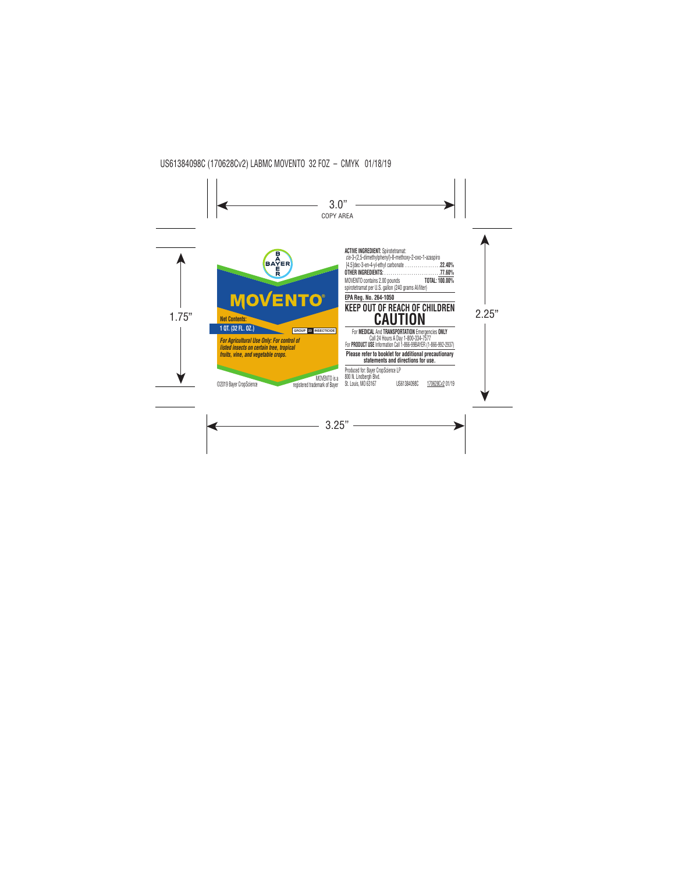

**ACTIVE INGREDIENT:** Spirotetramat: *cis*-3-(2,5-dimethylphenyl)-8-methoxy-2-oxo-1-azaspiro [4.5]dec-3-en-4-yl-ethyl carbonate. . **22.40% OTHER INGREDIENTS:**. **77.60%** MOVENTO contains 2.00 pounds **TOTAL: 100.00%** spirotetramat per U.S. gallon (240 grams AI/liter)

# **EPA Reg. No. 264-1050 KEEP OUT OF REACH OF CHILDREN**

For **MEDICAL** And **TRANSPORTATION** Emergencies **ONLY** Call 24 Hours A Day 1-800-334-7577 For **PRODUCT USE** Information Call 1-866-99BAYER (1-866-992-2937)

**Please refer to booklet for additional precautionary statements and directions for use.**

Produced for: Bayer CropScience LP 800 N. Lindbergh Blvd. St. Louis, MO 63167 US61384098C 170628Cv2 01/19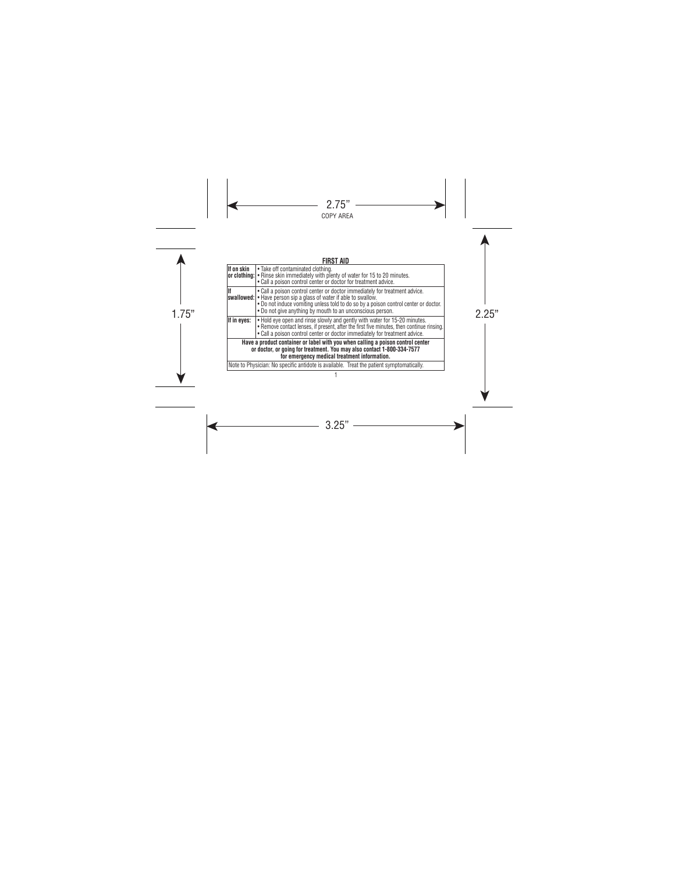# **FIRST AID**

| llf on skin | Take off contaminated clothing.<br>or clothing: • Rinse skin immediately with plenty of water for 15 to 20 minutes.<br>. Call a poison control center or doctor for treatment advice.                                                                                                                 |
|-------------|-------------------------------------------------------------------------------------------------------------------------------------------------------------------------------------------------------------------------------------------------------------------------------------------------------|
|             | • Call a poison control center or doctor immediately for treatment advice.<br>swallowed:   • Have person sip a glass of water if able to swallow.<br>. Do not induce vomiting unless told to do so by a poison control center or doctor.<br>. Do not give anything by mouth to an unconscious person. |
| If in eyes: | . Hold eye open and rinse slowly and gently with water for 15-20 minutes.<br>. Remove contact lenses, if present, after the first five minutes, then continue rinsing.<br>. Call a poison control center or doctor immediately for treatment advice.                                                  |
|             | Have a product container or label with you when calling a poison control center<br>or doctor, or going for treatment. You may also contact 1-800-334-7577<br>for emergency medical treatment information.                                                                                             |
|             | Note to Physician: No specific antidote is available. Treat the patient symptomatically.                                                                                                                                                                                                              |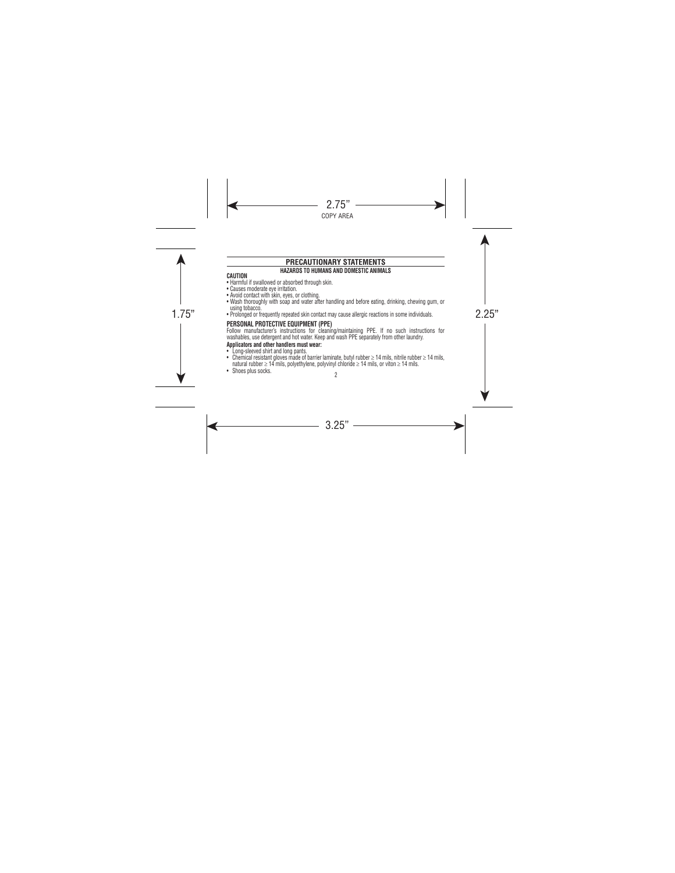# **PRECAUTIONARY STATEMENTS**

# **HAZARDS TO HUMANS AND DOMESTIC ANIMALS**

# **CAUTION**

- Harmful if swallowed or absorbed through skin.
- Causes moderate eye irritation.
- Avoid contact with skin, eyes, or clothing.
- Wash thoroughly with soap and water after handling and before eating, drinking, chewing gum, or using tobacco.
- 1.75" 2.25" Prolonged or frequently repeated skin contact may cause allergic reactions in some individuals.

# **PERSONAL PROTECTIVE EQUIPMENT (PPE)**

Follow manufacturer's instructions for cleaning/maintaining PPE. If no such instructions for washables, use detergent and hot water. Keep and wash PPE separately from other laundry.

# **Applicators and other handlers must wear:**

- 
- 2 • Chemical resistant gloves made of barrier laminate, butyl rubber  $\geq 14$  mils, nitrile rubber  $\geq 14$  mils, natural rubber ≥ 14 mils, polyethylene, polyvinyl chloride ≥ 14 mils, or viton ≥ 14 mils.
- Shoes plus socks.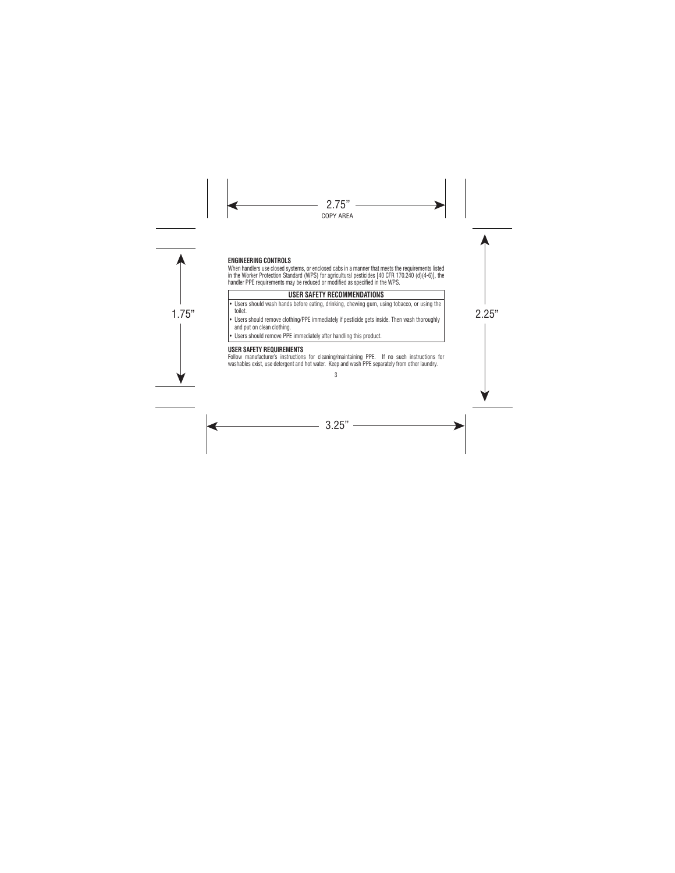# **ENGINEERING CONTROLS**

When handlers use closed systems, or enclosed cabs in a manner that meets the requirements listed in the Worker Protection Standard (WPS) for agricultural pesticides [40 CFR 170.240 (d)(4-6)], the handler PPE requirements may be reduced or modified as specified in the WPS.

# **USER SAFETY RECOMMENDATIONS**

- Users should wash hands before eating, drinking, chewing gum, using tobacco, or using the toilet.
- toilet.<br>• Users should remove clothing/PPE immediately if pesticide gets inside. Then wash thoroughly the strain of th and put on clean clothing.
	- Users should remove PPE immediately after handling this product.

# **USER SAFETY REQUIREMENTS**

3 Follow manufacturer's instructions for cleaning/maintaining PPE. If no such instructions for washables exist, use detergent and hot water. Keep and wash PPE separately from other laundry.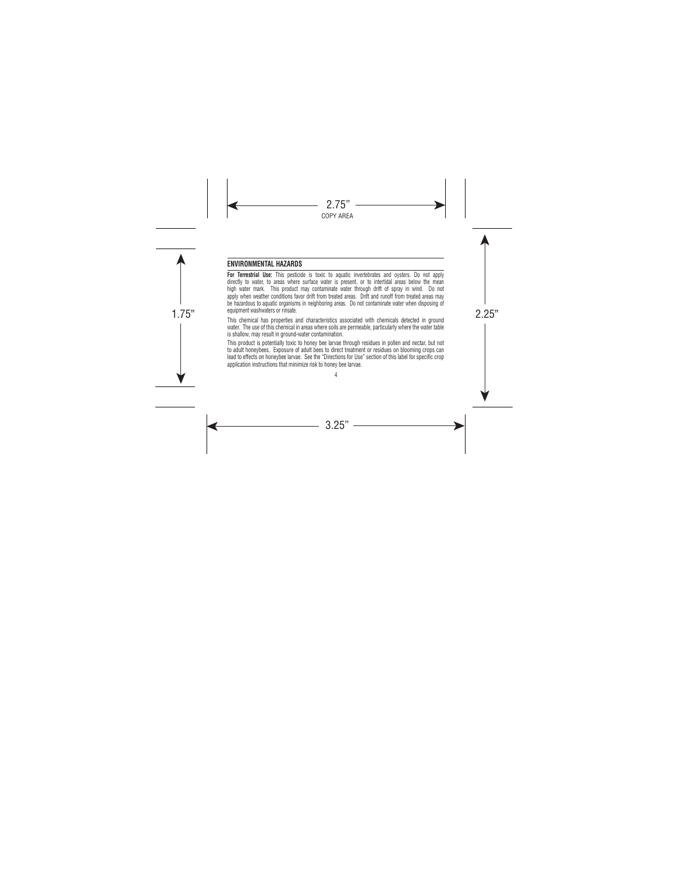# **ENVIRONMENTAL HAZARDS**

**For Terrestrial Use:** This pesticide is toxic to aquatic invertebrates and oysters. Do not apply directly to water, to areas where surface water is present, or to intertidal areas below the mean high water mark. This product may contaminate water through drift of spray in wind. Do not apply when weather conditions favor drift from treated areas. Drift and runoff from treated areas may be hazardous to aquatic organisms in neighboring areas. Do not contaminate water when disposing of equipment washwaters or rinsate.

equipment washwaters or rinsate.<br>This chemical has properties and characteristics associated with chemicals detected in ground water. The use of this chemical in areas where soils are permeable, particularly where the water table is shallow, may result in ground-water contamination.

> 4 This product is potentially toxic to honey bee larvae through residues in pollen and nectar, but not to adult honeybees. Exposure of adult bees to direct treatment or residues on blooming crops can lead to effects on honeybee larvae. See the "Directions for Use" section of this label for specific crop application instructions that minimize risk to honey bee larvae.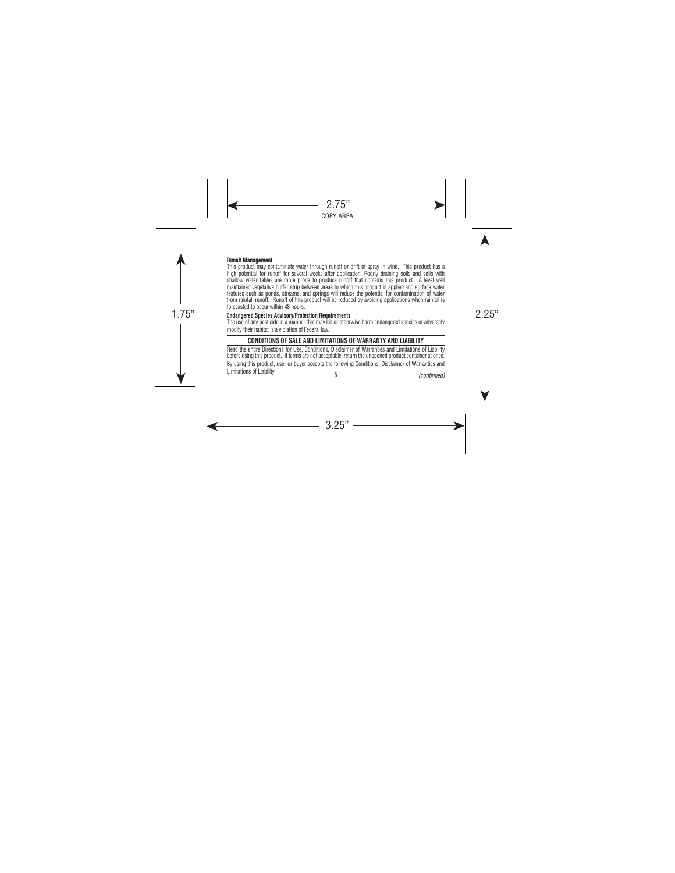#### **Runoff Management**

This product may contaminate water through runoff or drift of spray in wind. This product has a high potential for runoff for several weeks after application. Poorly draining soils and soils with shallow water tables are more prone to produce runoff that contains this product. A level well maintained vegetative buffer strip between areas to which this product is applied and surface water features such as ponds, streams, and springs will reduce the potential for contamination of water from rainfall runoff. Runoff of this product will be reduced by avoiding applications when rainfall is forecasted to occur within 48 hours.

# 1.75" 2.25" **Endangered Species Advisory/Protection Requirements**

The use of any pesticide in a manner that may kill or otherwise harm endangered species or adversely modify their habitat is a violation of Federal law.

# **CONDITIONS OF SALE AND LIMITATIONS OF WARRANTY AND LIABILITY**

5 Read the entire Directions for Use, Conditions, Disclaimer of Warranties and Limitations of Liability before using this product. If terms are not acceptable, return the unopened product container at once. By using this product, user or buyer accepts the following Conditions, Disclaimer of Warranties and<br>Limitations of Liability Limitations of Liability. *(continued)*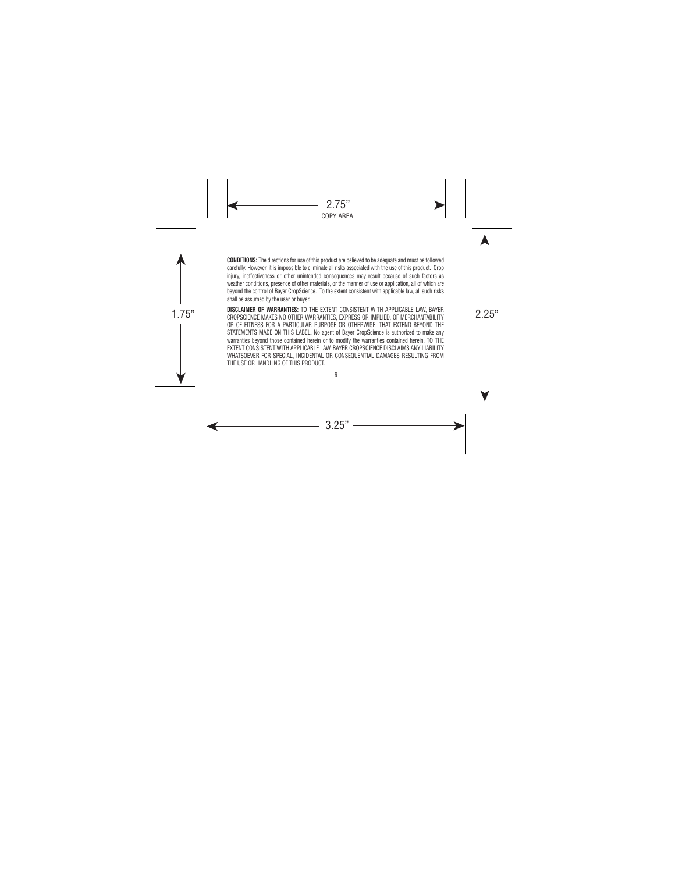**CONDITIONS:** The directions for use of this product are believed to be adequate and must be followed carefully. However, it is impossible to eliminate all risks associated with the use of this product. Crop injury, ineffectiveness or other unintended consequences may result because of such factors as weather conditions, presence of other materials, or the manner of use or application, all of which are beyond the control of Bayer CropScience. To the extent consistent with applicable law, all such risks shall be assumed by the user or buyer.

UISCLAIMEN OF WANNANTIES: TO THE EXTENT CONSISTENT WITH APPLICABLE LAW, BAYEN<br>CROPSCIENCE MAKES NO OTHER WARRANTIES, EXPRESS OR IMPLIED, OF MERCHANTABILITY **DISCLAIMER OF WARRANTIES:** TO THE EXTENT CONSISTENT WITH APPLICABLE LAW, BAYER OR OF FITNESS FOR A PARTICULAR PURPOSE OR OTHERWISE, THAT EXTEND BEYOND THE STATEMENTS MADE ON THIS LABEL. No agent of Bayer CropScience is authorized to make any warranties beyond those contained herein or to modify the warranties contained herein. TO THE EXTENT CONSISTENT WITH APPLICABLE LAW, BAYER CROPSCIENCE DISCLAIMS ANY LIABILITY WHATSOEVER FOR SPECIAL, INCIDENTAL OR CONSEQUENTIAL DAMAGES RESULTING FROM THE USE OR HANDLING OF THIS PRODUCT.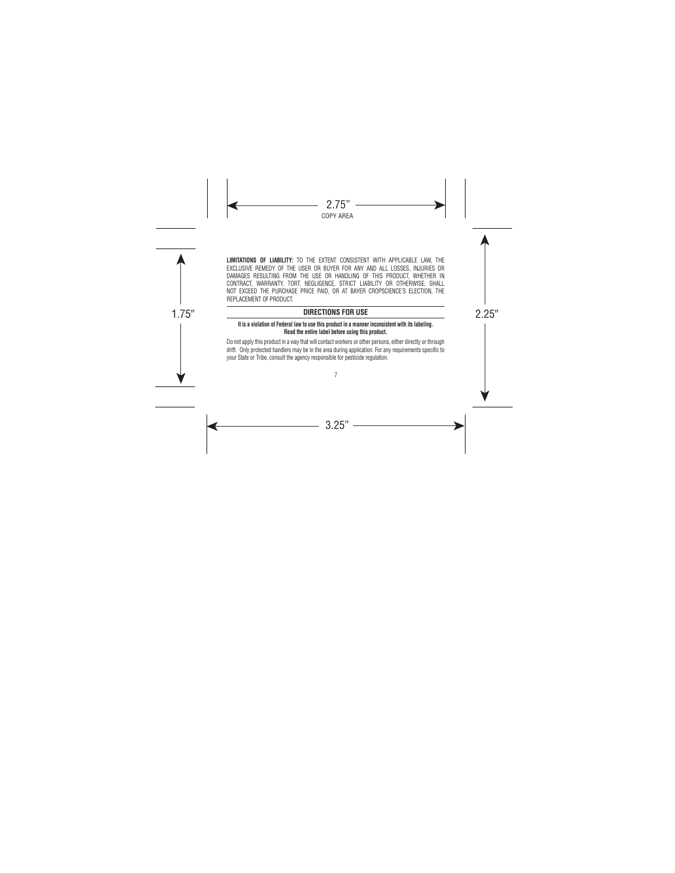**LIMITATIONS OF LIABILITY:** TO THE EXTENT CONSISTENT WITH APPLICABLE LAW, THE EXCLUSIVE REMEDY OF THE USER OR BUYER FOR ANY AND ALL LOSSES, INJURIES OR DAMAGES RESULTING FROM THE USE OR HANDLING OF THIS PRODUCT, WHETHER IN CONTRACT, WARRANTY, TORT, NEGLIGENCE, STRICT LIABILITY OR OTHERWISE, SHALL NOT EXCEED THE PURCHASE PRICE PAID, OR AT BAYER CROPSCIENCE'S ELECTION, THE REPLACEMENT OF PRODUCT.

# 1.75" 2.25" **DIRECTIONS FOR USE**

## **It is a violation of Federal law to use this product in a manner inconsistent with its labeling. Read the entire label before using this product.**

Do not apply this product in a way that will contact workers or other persons, either directly or through drift. Only protected handlers may be in the area during application. For any requirements specific to your State or Tribe, consult the agency responsible for pesticide regulation.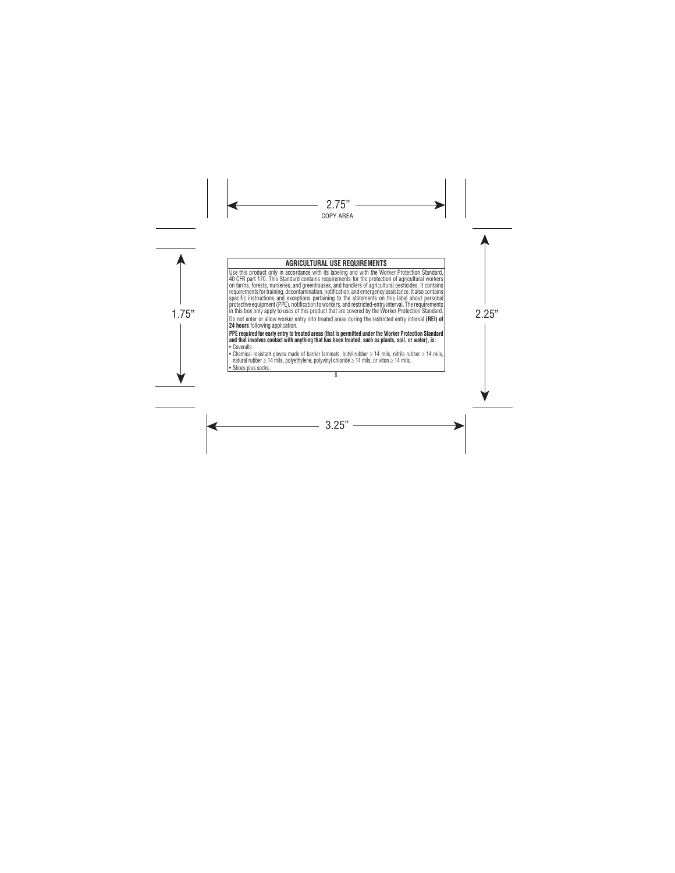# **AGRICULTURAL USE REQUIREMENTS**

in this box only apply to uses of this product that are covered by the Worker Protection Standard. |<br>| Do not enter or allow worker entry into treated areas during the restricted entry interval **(REI) of** | Use this product only in accordance with its labeling and with the Worker Protection Standard, 40 CFR part 170. This Standard contains requirements for the protection of agricultural workers on farms, forests, nurseries, and greenhouses, and handlers of agricultural pesticides. It contains requirements for training, decontamination, notification, and emergency assistance. It also contains specific instructions and exceptions pertaining to the statements on this label about personal protective equipment (PPE), notification to workers, and restricted-entry interval. The requirements in this box only apply to uses of this product that are covered by the Worker Protection Standard. **24 hours** following application.

**PPE required for early entry to treated areas (that is permitted under the Worker Protection Standard and that involves contact with anything that has been treated, such as plants, soil, or water), is:**

- Coveralls.
- Chemical resistant gloves made of barrier laminate, butyl rubber ≥ 14 mils, nitrile rubber ≥ 14 mils, natural rubber ≥ 14 mils, polyethylene, polyvinyl chloride ≥ 14 mils, or viton ≥ 14 mils.

• Shoes plus socks.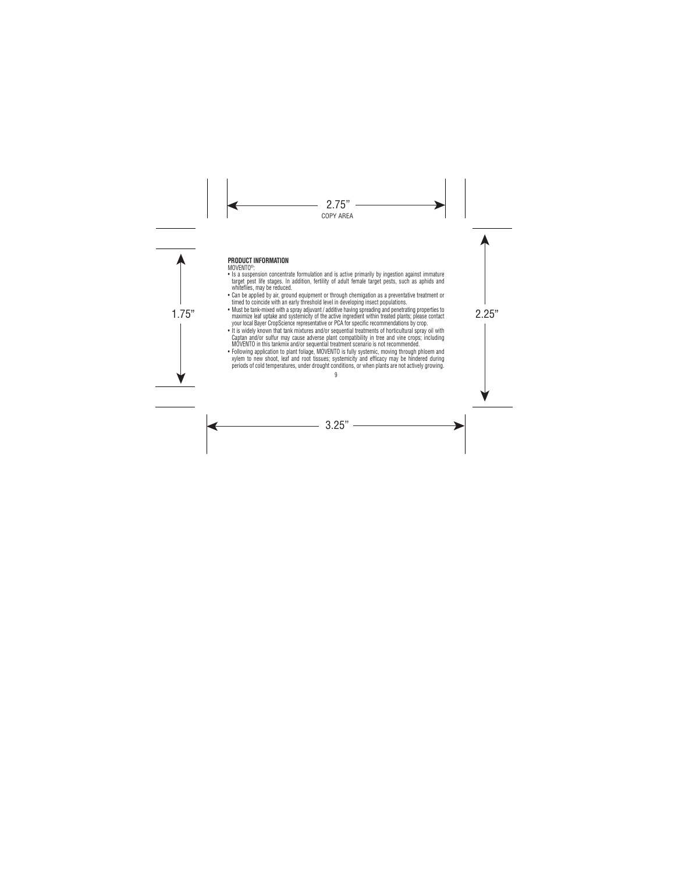# **PRODUCT INFORMATION**

MOVENTO®:

- Is a suspension concentrate formulation and is active primarily by ingestion against immature target pest life stages. In addition, fertility of adult female target pests, such as aphids and whiteflies, may be reduced.
- Can be applied by air, ground equipment or through chemigation as a preventative treatment or timed to coincide with an early threshold level in developing insect populations.
- Must be tank-mixed with a spray adjuvant / additive having spreading and penetrating properties to<br>maximize leaf uptake and systemicity of the active ingredient within treated plants; please contact • Must be tank-mixed with a spray adjuvant / additive having spreading and penetrating properties to your local Bayer CropScience representative or PCA for specific recommendations by crop.
	- It is widely known that tank mixtures and/or sequential treatments of horticultural spray oil with Captan and/or sulfur may cause adverse plant compatibility in tree and vine crops; including MOVENTO in this tankmix and/or sequential treatment scenario is not recommended.
	- Following application to plant foliage, MOVENTO is fully systemic, moving through phloem and xylem to new shoot, leaf and root tissues; systemicity and efficacy may be hindered during periods of cold temperatures, under drought conditions, or when plants are not actively growing.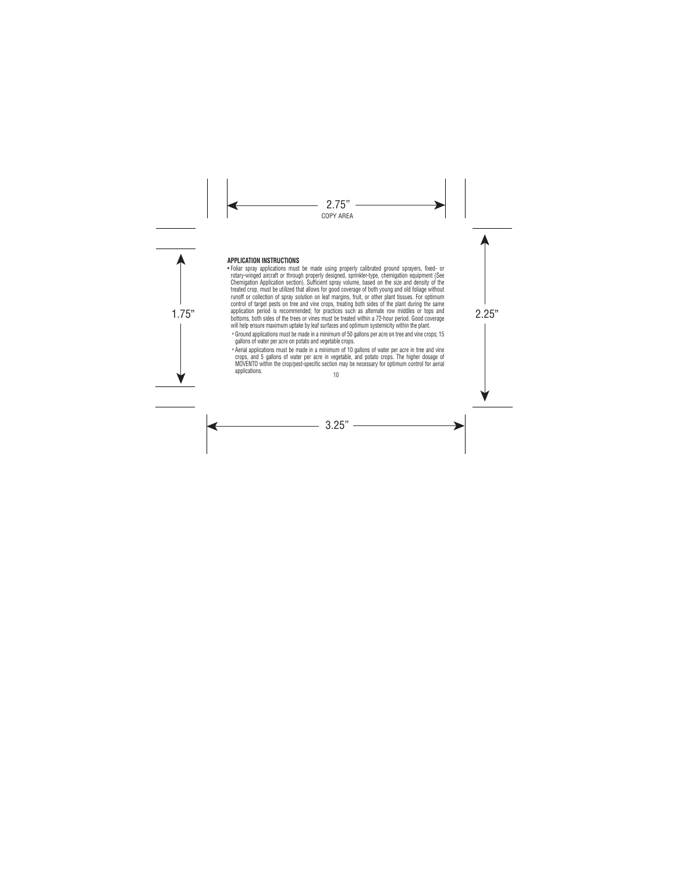# **APPLICATION INSTRUCTIONS**

- application period is recommended; for practices such as alternate row middles or tops and<br>bottoms, both sides of the trees or vines must be treated within a 72-hour period. Good coverage • Foliar spray applications must be made using properly calibrated ground sprayers, fixed- or rotary-winged aircraft or through properly designed, sprinkler-type, chemigation equipment (See Chemigation Application section). Sufficient spray volume, based on the size and density of the treated crop, must be utilized that allows for good coverage of both young and old foliage without runoff or collection of spray solution on leaf margins, fruit, or other plant tissues. For optimum control of target pests on tree and vine crops, treating both sides of the plant during the same application period is recommended; for practices such as alternate row middles or tops and will help ensure maximum uptake by leaf surfaces and optimum systemicity within the plant.
	- ° Ground applications must be made in a minimum of 50 gallons per acre on tree and vine crops; 15 gallons of water per acre on potato and vegetable crops.
	- 10 ° Aerial applications must be made in a minimum of 10 gallons of water per acre in tree and vine crops, and 5 gallons of water per acre in vegetable, and potato crops. The higher dosage of MOVENTO within the crop/pest-specific section may be necessary for optimum control for aerial applications.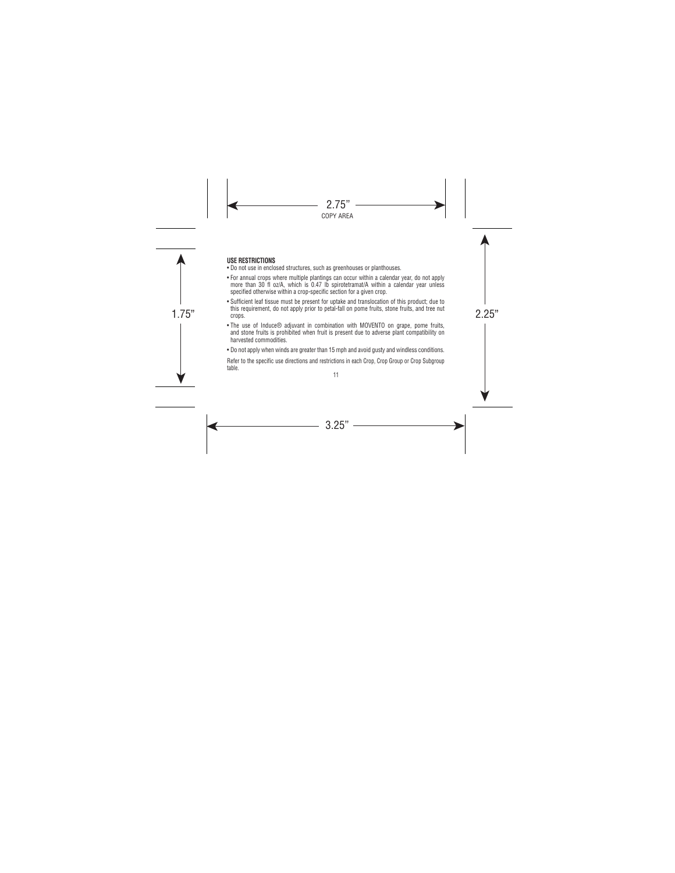# **USE RESTRICTIONS**

- Do not use in enclosed structures, such as greenhouses or planthouses.
- For annual crops where multiple plantings can occur within a calendar year, do not apply more than 30 fl oz/A, which is 0.47 lb spirotetramat/A within a calendar year unless specified otherwise within a crop-specific section for a given crop.
- this requirement, do not apply prior to petal-fall on pome fruits, stone fruits, and tree nut<br>crops. • Sufficient leaf tissue must be present for uptake and translocation of this product; due to crops.
	- The use of Induce® adjuvant in combination with MOVENTO on grape, pome fruits, and stone fruits is prohibited when fruit is present due to adverse plant compatibility on harvested commodities.
	- Do not apply when winds are greater than 15 mph and avoid gusty and windless conditions.

Refer to the specific use directions and restrictions in each Crop, Crop Group or Crop Subgroup table.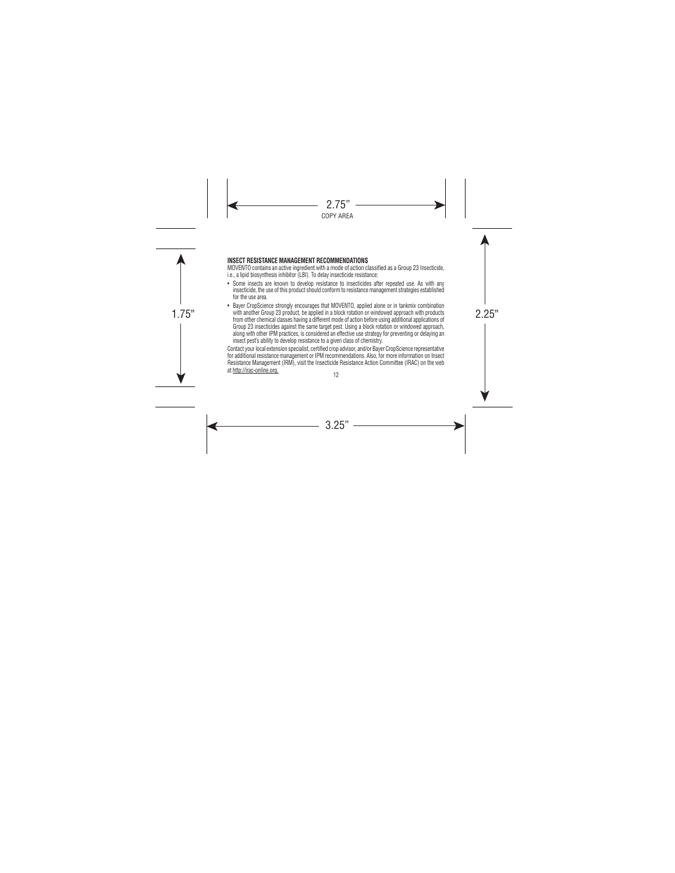# **INSECT RESISTANCE MANAGEMENT RECOMMENDATIONS**

MOVENTO contains an active ingredient with a mode of action classified as a Group 23 Insecticide, i.e., a lipid biosynthesis inhibitor (LBI). To delay insecticide resistance:

- Some insects are known to develop resistance to insecticides after repeated use. As with any insecticide, the use of this product should conform to resistance management strategies established for the use area.
- with another Group 23 product, be applied in a block rotation or windowed approach with products<br>from other chamical classes baying a different mode of action before using additional applications of • Bayer CropScience strongly encourages that MOVENTO, applied alone or in tankmix combination from other chemical classes having a different mode of action before using additional applications of Group 23 insecticides against the same target pest. Using a block rotation or windowed approach, along with other IPM practices, is considered an effective use strategy for preventing or delaying an insect pest's ability to develop resistance to a given class of chemistry.

Contact your local extension specialist, certified crop advisor, and/or Bayer CropScience representative for additional resistance management or IPM recommendations. Also, for more information on Insect Resistance Management (IRM), visit the Insecticide Resistance Action Committee (IRAC) on the web at http://irac-online.org.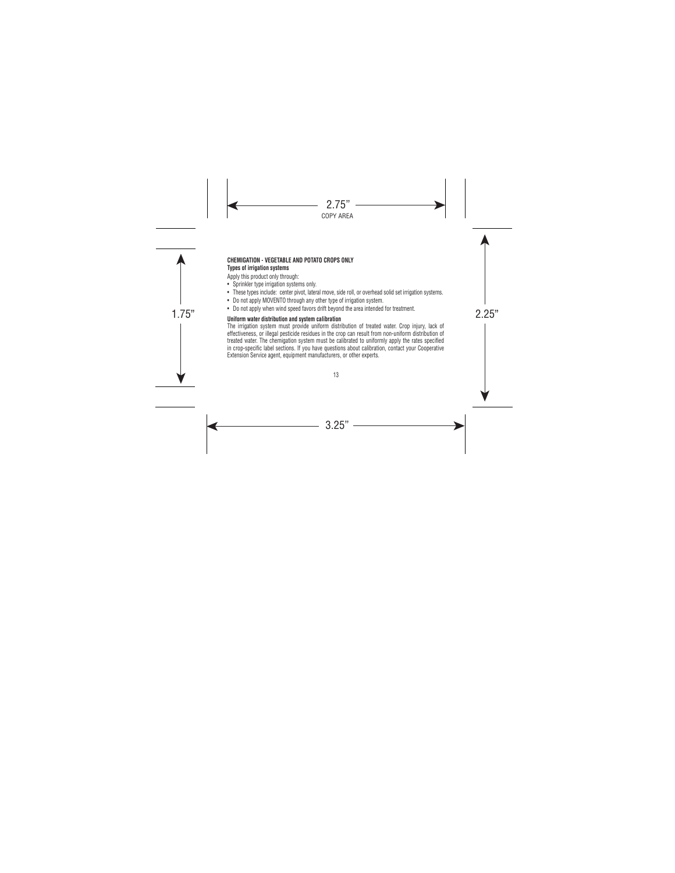## **CHEMIGATION - VEGETABLE AND POTATO CROPS ONLY Types of irrigation systems**

Apply this product only through:

- Sprinkler type irrigation systems only.
- These types include: center pivot, lateral move, side roll, or overhead solid set irrigation systems.
- Do not apply MOVENTO through any other type of irrigation system.
- Do not apply when wind speed favors drift beyond the area intended for treatment.

# **1.** Do not apply when while speed ravors unit beyond the area intended for treatment.<br>Uniform water distribution and system calibration

The irrigation system must provide uniform distribution of treated water. Crop injury, lack of effectiveness, or illegal pesticide residues in the crop can result from non-uniform distribution of treated water. The chemigation system must be calibrated to uniformly apply the rates specified in crop-specific label sections. If you have questions about calibration, contact your Cooperative Extension Service agent, equipment manufacturers, or other experts.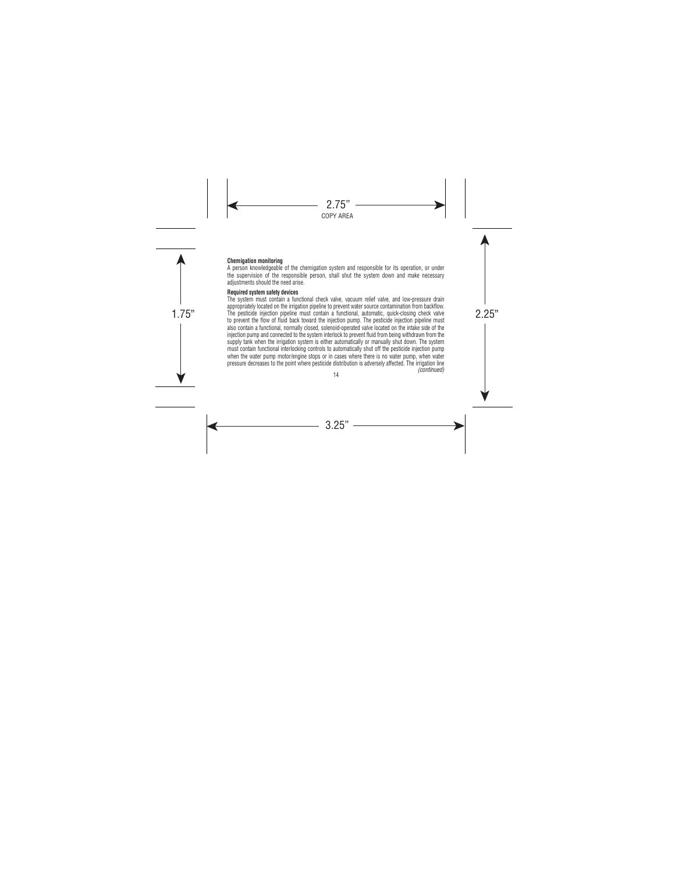#### **Chemigation monitoring**

A person knowledgeable of the chemigation system and responsible for its operation, or under the supervision of the responsible person, shall shut the system down and make necessary adjustments should the need arise.

#### **Required system safety devices**

The pesticide injection pipeline must contain a functional, automatic, quick-closing check valve The system must contain a functional check valve, vacuum relief valve, and low-pressure drain appropriately located on the irrigation pipeline to prevent water source contamination from backflow. to prevent the flow of fluid back toward the injection pump. The pesticide injection pipeline must also contain a functional, normally closed, solenoid-operated valve located on the intake side of the injection pump and connected to the system interlock to prevent fluid from being withdrawn from the supply tank when the irrigation system is either automatically or manually shut down. The system must contain functional interlocking controls to automatically shut off the pesticide injection pump when the water pump motor/engine stops or in cases where there is no water pump, when water pressure decreases to the point where pesticide distribution is adversely affected. The irrigation line *(continued)*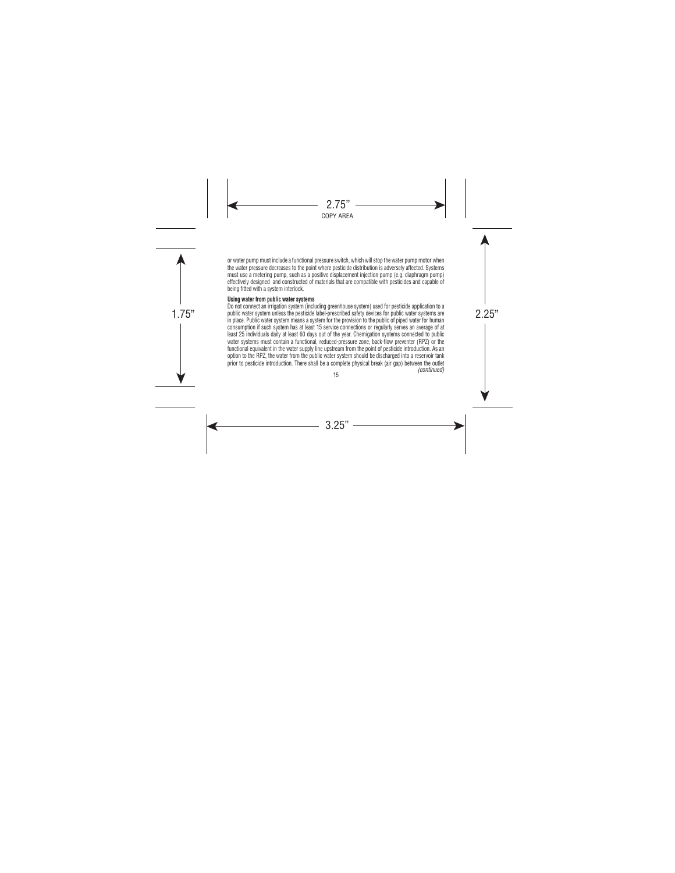or water pump must include a functional pressure switch, which will stop the water pump motor when the water pressure decreases to the point where pesticide distribution is adversely affected. Systems must use a metering pump, such as a positive displacement injection pump (e.g. diaphragm pump) effectively designed and constructed of materials that are compatible with pesticides and capable of being fitted with a system interlock.

#### **Using water from public water systems**

public water system unless the pesticide label-prescribed safety devices for public water systems are<br>in place Dublic unter grotery means a gustam for the provision to the public of giand unter for burned Do not connect an irrigation system (including greenhouse system) used for pesticide application to a in place. Public water system means a system for the provision to the public of piped water for human consumption if such system has at least 15 service connections or regularly serves an average of at least 25 individuals daily at least 60 days out of the year. Chemigation systems connected to public water systems must contain a functional, reduced-pressure zone, back-flow preventer (RPZ) or the functional equivalent in the water supply line upstream from the point of pesticide introduction. As an option to the RPZ, the water from the public water system should be discharged into a reservoir tank prior to pesticide introduction. There shall be a complete physical break (air gap) between the outlet *(continued)*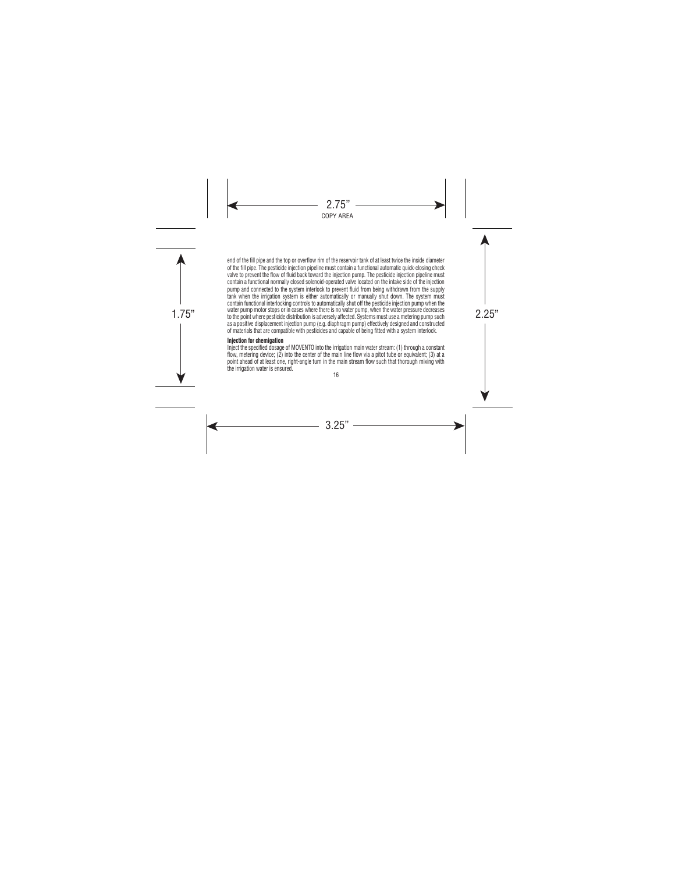water pump motor stops or in cases where there is no water pump, when the water pressure decreases<br>to the point where pesticide distribution is adversely affected. Systems must use a metering pump such end of the fill pipe and the top or overflow rim of the reservoir tank of at least twice the inside diameter of the fill pipe. The pesticide injection pipeline must contain a functional automatic quick-closing check valve to prevent the flow of fluid back toward the injection pump. The pesticide injection pipeline must contain a functional normally closed solenoid-operated valve located on the intake side of the injection pump and connected to the system interlock to prevent fluid from being withdrawn from the supply tank when the irrigation system is either automatically or manually shut down. The system must contain functional interlocking controls to automatically shut off the pesticide injection pump when the water pump motor stops or in cases where there is no water pump, when the water pressure decreases as a positive displacement injection pump (e.g. diaphragm pump) effectively designed and constructed of materials that are compatible with pesticides and capable of being fitted with a system interlock.

#### **Injection for chemigation**

Inject the specified dosage of MOVENTO into the irrigation main water stream: (1) through a constant flow, metering device; (2) into the center of the main line flow via a pitot tube or equivalent; (3) at a point ahead of at least one, right-angle turn in the main stream flow such that thorough mixing with the irrigation water is ensured.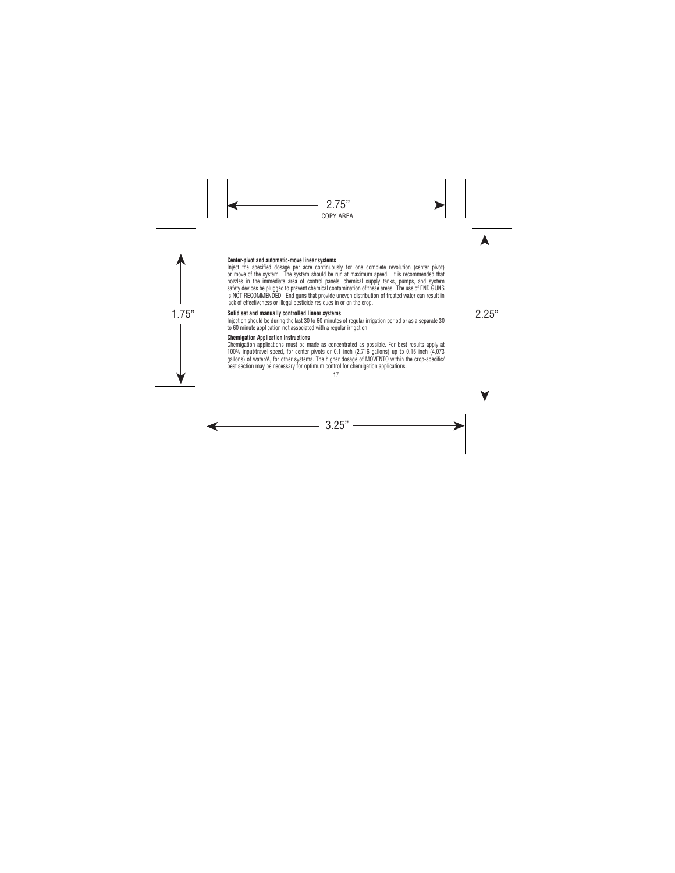#### **Center-pivot and automatic-move linear systems**

Inject the specified dosage per acre continuously for one complete revolution (center pivot) or move of the system. The system should be run at maximum speed. It is recommended that nozzles in the immediate area of control panels, chemical supply tanks, pumps, and system safety devices be plugged to prevent chemical contamination of these areas. The use of END GUNS is NOT RECOMMENDED. End guns that provide uneven distribution of treated water can result in lack of effectiveness or illegal pesticide residues in or on the crop.

# Solid set and manually controlled linear systems<br>Inization should be during the lead 00 to 00 minutes of convictionization against agree a seconds 00

Injection should be during the last 30 to 60 minutes of regular irrigation period or as a separate 30 to 60 minute application not associated with a regular irrigation.

#### **Chemigation Application Instructions**

Chemigation applications must be made as concentrated as possible. For best results apply at 100% input/travel speed, for center pivots or 0.1 inch (2,716 gallons) up to 0.15 inch (4,073 gallons) of water/A, for other systems. The higher dosage of MOVENTO within the crop-specific/ pest section may be necessary for optimum control for chemigation applications.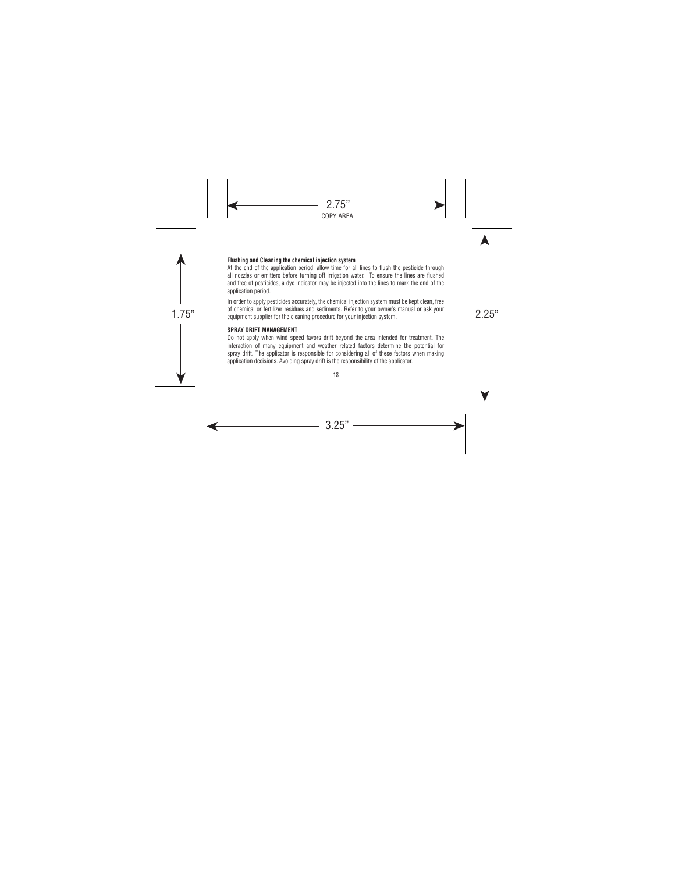#### **Flushing and Cleaning the chemical injection system**

At the end of the application period, allow time for all lines to flush the pesticide through all nozzles or emitters before turning off irrigation water. To ensure the lines are flushed and free of pesticides, a dye indicator may be injected into the lines to mark the end of the application period.

or chenncar or rerunzer residues and sediments, riefer to your owner's manuar or ask your<br>equipment supplier for the cleaning procedure for your injection system. In order to apply pesticides accurately, the chemical injection system must be kept clean, free of chemical or fertilizer residues and sediments. Refer to your owner's manual or ask your

#### **SPRAY DRIFT MANAGEMENT**

Do not apply when wind speed favors drift beyond the area intended for treatment. The interaction of many equipment and weather related factors determine the potential for spray drift. The applicator is responsible for considering all of these factors when making application decisions. Avoiding spray drift is the responsibility of the applicator.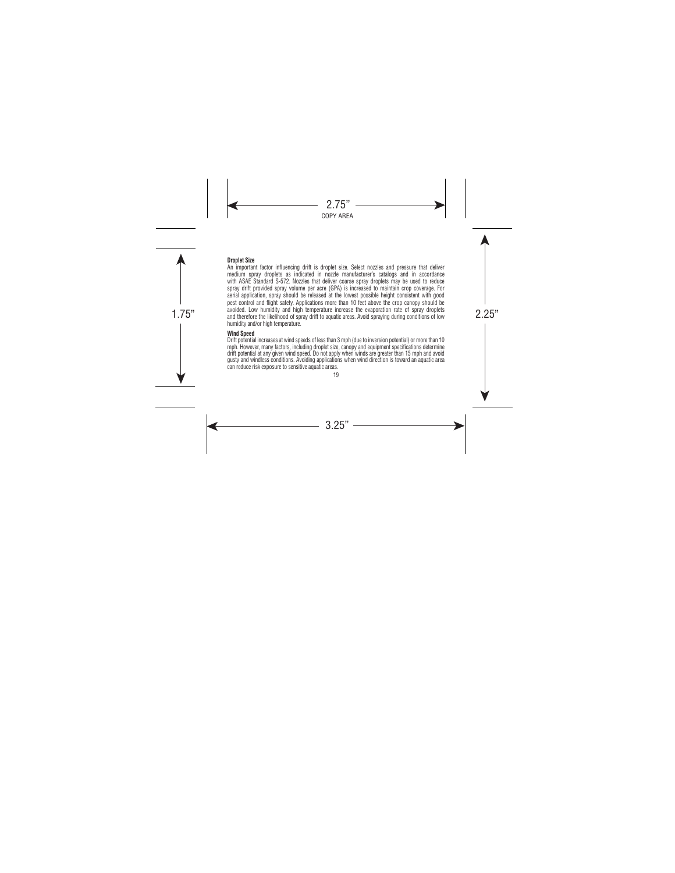#### **Droplet Size**

avoided. Low numidity and nign temperature increase tne evaporation rate of spray dropiets<br>and therefore the likelihood of spray drift to aquatic areas. Avoid spraying during conditions of low An important factor influencing drift is droplet size. Select nozzles and pressure that deliver medium spray droplets as indicated in nozzle manufacturer's catalogs and in accordance with ASAE Standard S-572. Nozzles that deliver coarse spray droplets may be used to reduce spray drift provided spray volume per acre (GPA) is increased to maintain crop coverage. For aerial application, spray should be released at the lowest possible height consistent with good pest control and flight safety. Applications more than 10 feet above the crop canopy should be avoided. Low humidity and high temperature increase the evaporation rate of spray droplets humidity and/or high temperature.

#### **Wind Speed**

Drift potential increases at wind speeds of less than 3 mph (due to inversion potential) or more than 10 mph. However, many factors, including droplet size, canopy and equipment specifications determine drift potential at any given wind speed. Do not apply when winds are greater than 15 mph and avoid gusty and windless conditions. Avoiding applications when wind direction is toward an aquatic area can reduce risk exposure to sensitive aquatic areas.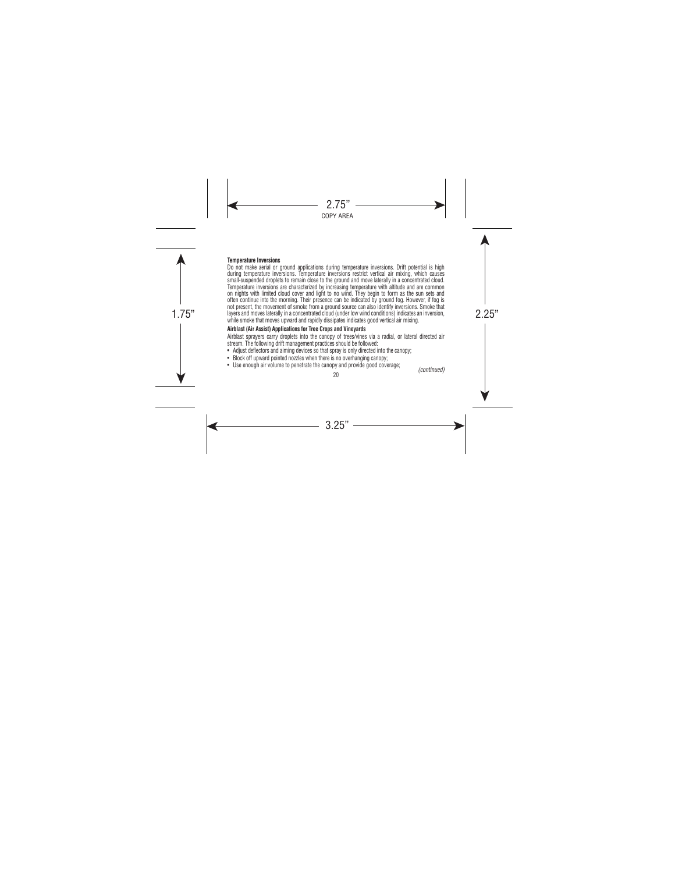#### **Temperature Inversions**

layers and moves laterally in a concentrated cloud (under low wind conditions) indicates an inversion, Do not make aerial or ground applications during temperature inversions. Drift potential is high during temperature inversions. Temperature inversions restrict vertical air mixing, which causes small-suspended droplets to remain close to the ground and move laterally in a concentrated cloud. Temperature inversions are characterized by increasing temperature with altitude and are common on nights with limited cloud cover and light to no wind. They begin to form as the sun sets and often continue into the morning. Their presence can be indicated by ground fog. However, if fog is not present, the movement of smoke from a ground source can also identify inversions. Smoke that while smoke that moves upward and rapidly dissipates indicates good vertical air mixing.

# **Airblast (Air Assist) Applications for Tree Crops and Vineyards**

Airblast sprayers carry droplets into the canopy of trees/vines via a radial, or lateral directed air stream. The following drift management practices should be followed:

- Adjust deflectors and aiming devices so that spray is only directed into the canopy:
- Block off upward pointed nozzles when there is no overhanging canopy:
- Use enough air volume to penetrate the canopy and provide good coverage; *(continued)*

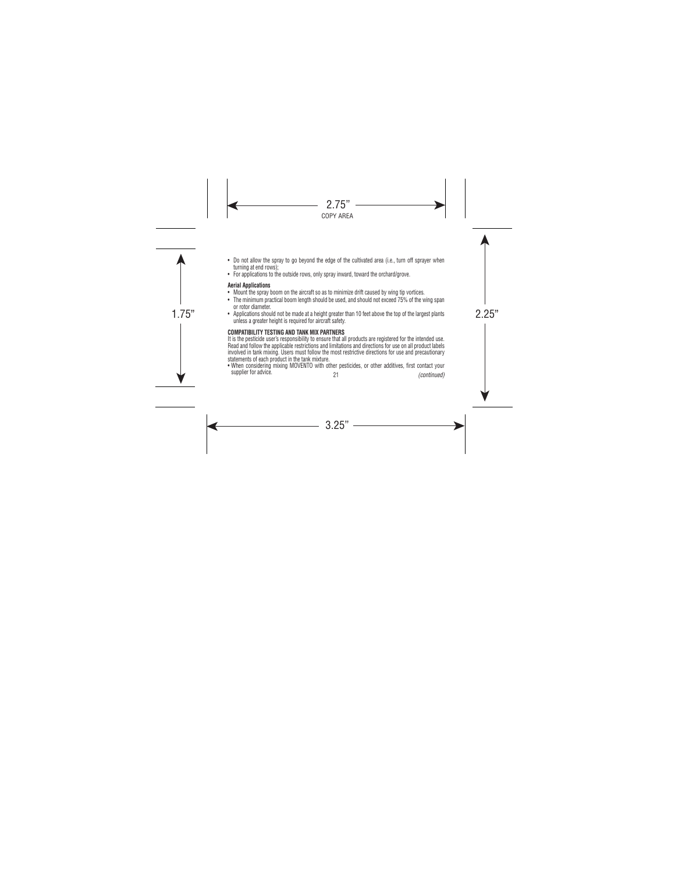- Do not allow the spray to go beyond the edge of the cultivated area (i.e., turn off sprayer when turning at end rows);
- For applications to the outside rows, only spray inward, toward the orchard/grove.

# **Aerial Applications**

- Mount the spray boom on the aircraft so as to minimize drift caused by wing tip vortices.
- The minimum practical boom length should be used, and should not exceed 75% of the wing span or rotor diameter.
- Applications should not be made at a height greater than 10 feet above the top of the largest plants unless a greater height is required for aircraft safety.

# **COMPATIBILITY TESTING AND TANK MIX PARTNERS**

It is the pesticide user's responsibility to ensure that all products are registered for the intended use. Read and follow the applicable restrictions and limitations and directions for use on all product labels involved in tank mixing. Users must follow the most restrictive directions for use and precautionary statements of each product in the tank mixture.

21 • When considering mixing MOVENTO with other pesticides, or other additives, first contact your supplier for advice. *(continued)*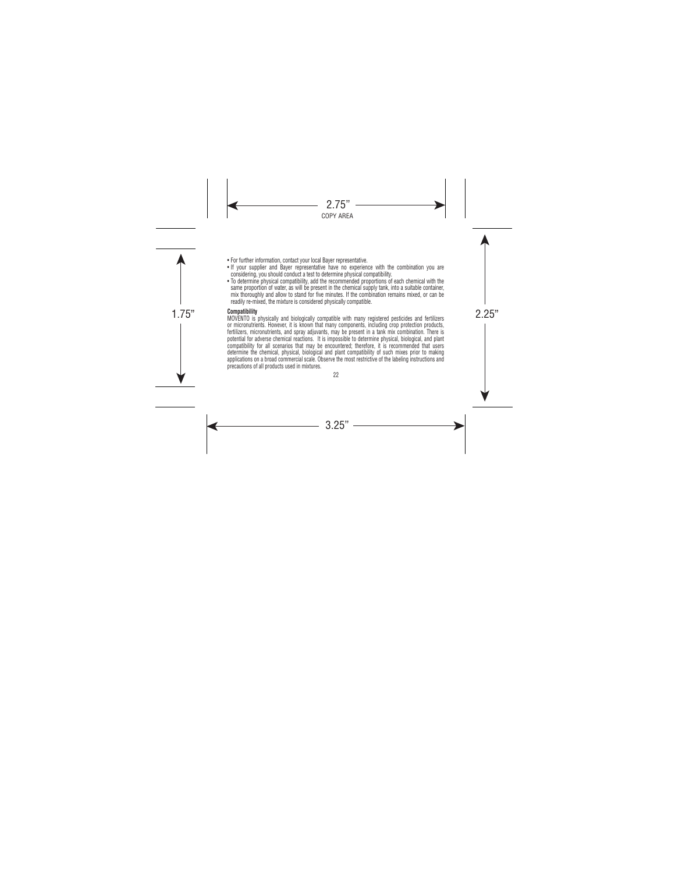- For further information, contact your local Bayer representative.
- If your supplier and Bayer representative have no experience with the combination you are considering, you should conduct a test to determine physical compatibility.
- To determine physical compatibility, add the recommended proportions of each chemical with the same proportion of water, as will be present in the chemical supply tank, into a suitable container, mix thoroughly and allow to stand for five minutes. If the combination remains mixed, or can be readily re-mixed, the mixture is considered physically compatible.

## **Compatibility**

**Compatibility**<br>MOVENTO is physically and biologically compatible with many registered pesticides and fertilizers or micronutrients. However, it is known that many components, including crop protection products, fertilizers, micronutrients, and spray adjuvants, may be present in a tank mix combination. There is potential for adverse chemical reactions. It is impossible to determine physical, biological, and plant compatibility for all scenarios that may be encountered; therefore, it is recommended that users determine the chemical, physical, biological and plant compatibility of such mixes prior to making applications on a broad commercial scale. Observe the most restrictive of the labeling instructions and precautions of all products used in mixtures.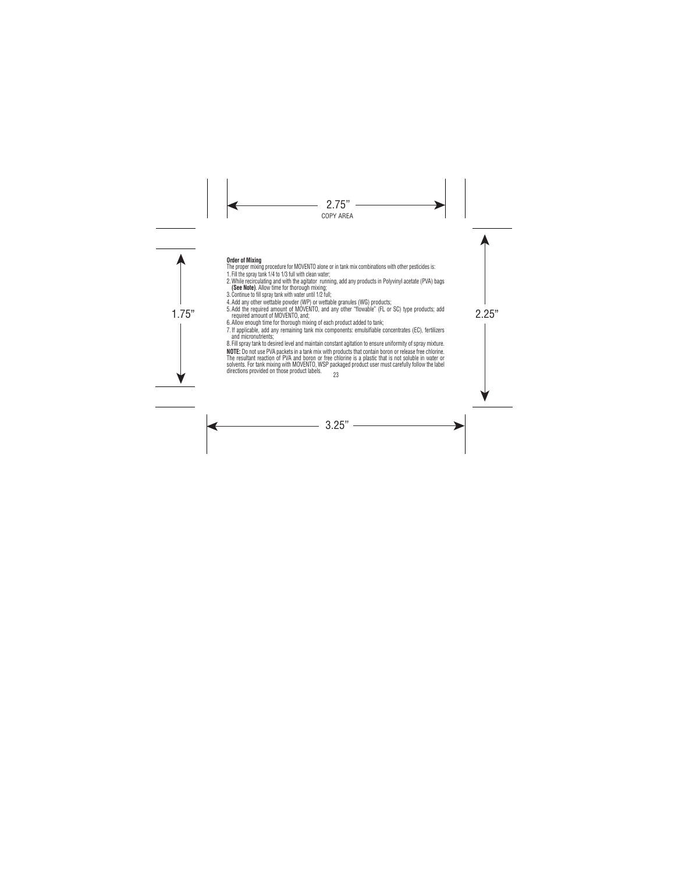#### **Order of Mixing**

- The proper mixing procedure for MOVENTO alone or in tank mix combinations with other pesticides is:
- 1. Fill the spray tank 1/4 to 1/3 full with clean water;
- 2. While recirculating and with the agitator running, add any products in Polyvinyl acetate (PVA) bags **(See Note)**. Allow time for thorough mixing;
- 3. Continue to fill spray tank with water until 1/2 full;
- 4. Add any other wettable powder (WP) or wettable granules (WG) products;
- 5. Add the required amount of MOVENTO, and any other "flowable" (FL or SC) type products; add<br>required amount of MOVENTO, and; required amount of MOVENTO, and;
	- 6. Allow enough time for thorough mixing of each product added to tank;
	- 7. If applicable, add any remaining tank mix components: emulsifiable concentrates (EC), fertilizers and micronutrients;

8. Fill spray tank to desired level and maintain constant agitation to ensure uniformity of spray mixture.

**NOTE:** Do not use PVA packets in a tank mix with products that contain boron or release free chlorine. The resultant reaction of PVA and boron or free chlorine is a plastic that is not soluble in water or solvents. For tank mixing with MOVENTO, WSP packaged product user must carefully follow the label directions provided on those product labels.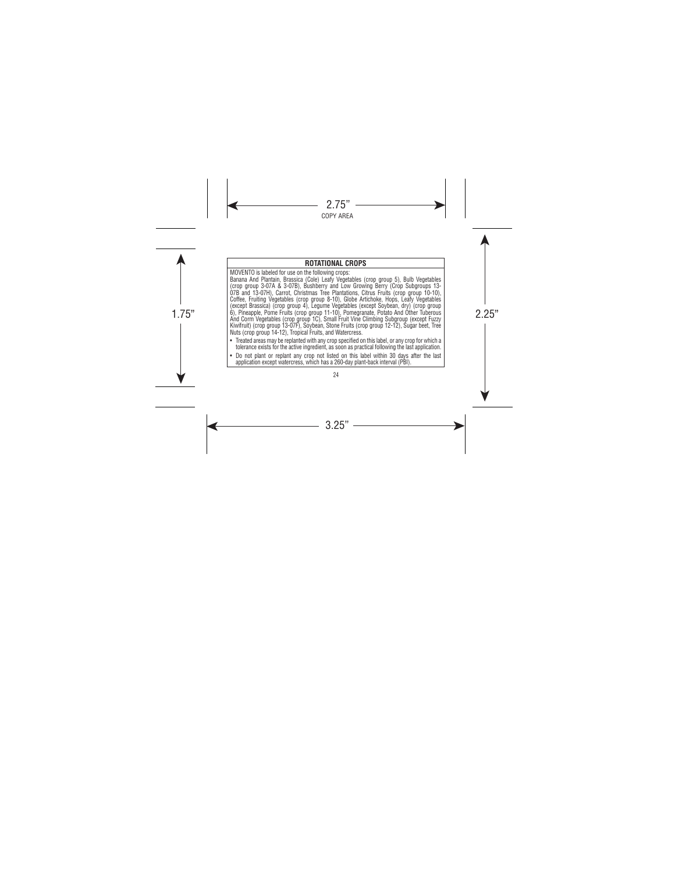# **ROTATIONAL CROPS**

MOVENTO is labeled for use on the following crops:

 $\ket{6}$ , Pineapple, Pome Fruits (crop group 11-10), Pomegranate, Potato And Other Tuberous<br>And Corm Vegetables (crop group 10), Small Fruit Vine Climbing Subgroup (except Fuzzy Banana And Plantain, Brassica (Cole) Leafy Vegetables (crop group 5), Bulb Vegetables (crop group 3-07A & 3-07B), Bushberry and Low Growing Berry (Crop Subgroups 13- 07B and 13-07H), Carrot, Christmas Tree Plantations, Citrus Fruits (crop group 10-10), Coffee, Fruiting Vegetables (crop group 8-10), Globe Artichoke, Hops, Leafy Vegetables (except Brassica) (crop group 4), Legume Vegetables (except Soybean, dry) (crop group And Corm Vegetables (crop group 1C), Small Fruit Vine Climbing Subgroup (except Fuzzy Kiwifruit) (crop group 13-07F), Soybean, Stone Fruits (crop group 12-12), Sugar beet, Tree Nuts (crop group 14-12), Tropical Fruits, and Watercress.

- Treated areas may be replanted with any crop specified on this label, or any crop for which a tolerance exists for the active ingredient, as soon as practical following the last application.
- Do not plant or replant any crop not listed on this label within 30 days after the last application except watercress, which has a 260-day plant-back interval (PBI).
	- 24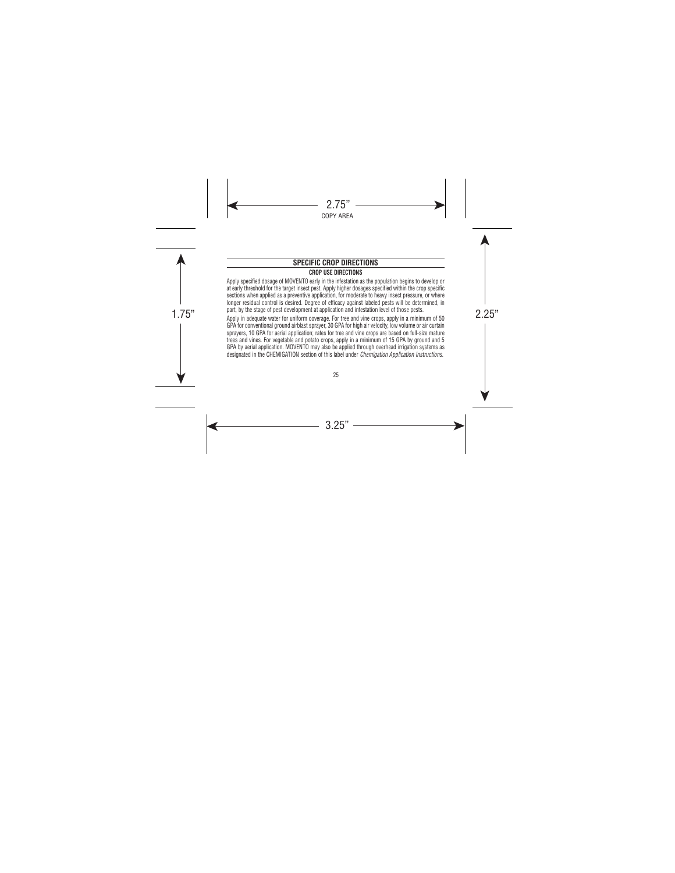# **SPECIFIC CROP DIRECTIONS**

# **CROP USE DIRECTIONS**

part, by the stage of pest development at application and intestation level of those pests.<br>Apply in adequate water for uniform coverage. For tree and vine crops, apply in a minimum of 50 Apply specified dosage of MOVENTO early in the infestation as the population begins to develop or at early threshold for the target insect pest. Apply higher dosages specified within the crop specific sections when applied as a preventive application, for moderate to heavy insect pressure, or where longer residual control is desired. Degree of efficacy against labeled pests will be determined, in part, by the stage of pest development at application and infestation level of those pests. GPA for conventional ground airblast sprayer, 30 GPA for high air velocity, low volume or air curtain sprayers, 10 GPA for aerial application; rates for tree and vine crops are based on full-size mature trees and vines. For vegetable and potato crops, apply in a minimum of 15 GPA by ground and 5 GPA by aerial application. MOVENTO may also be applied through overhead irrigation systems as designated in the CHEMIGATION section of this label under *Chemigation Application Instructions.*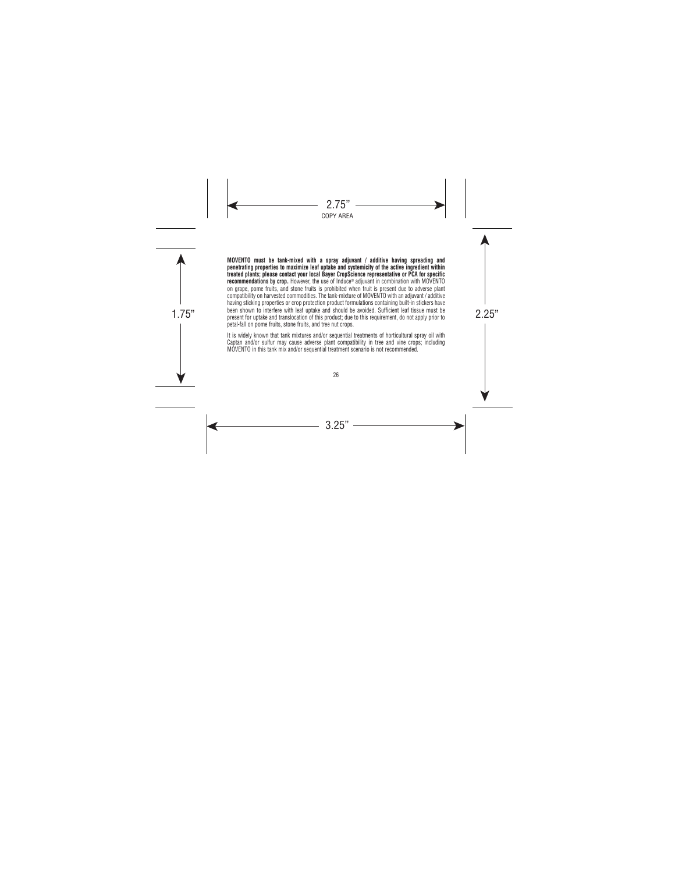been shown to intertere with leat uptake and should be avoided. Sufficient leat tissue must be<br>present for uptake and translocation of this product; due to this requirement, do not apply prior to **MOVENTO must be tank-mixed with a spray adjuvant / additive having spreading and penetrating properties to maximize leaf uptake and systemicity of the active ingredient within treated plants; please contact your local Bayer CropScience representative or PCA for specific recommendations by crop.** However, the use of Induce® adjuvant in combination with MOVENTO on grape, pome fruits, and stone fruits is prohibited when fruit is present due to adverse plant compatibility on harvested commodities. The tank-mixture of MOVENTO with an adjuvant / additive having sticking properties or crop protection product formulations containing built-in stickers have been shown to interfere with leaf uptake and should be avoided. Sufficient leaf tissue must be petal-fall on pome fruits, stone fruits, and tree nut crops.

> It is widely known that tank mixtures and/or sequential treatments of horticultural spray oil with Captan and/or sulfur may cause adverse plant compatibility in tree and vine crops; including MOVENTO in this tank mix and/or sequential treatment scenario is not recommended.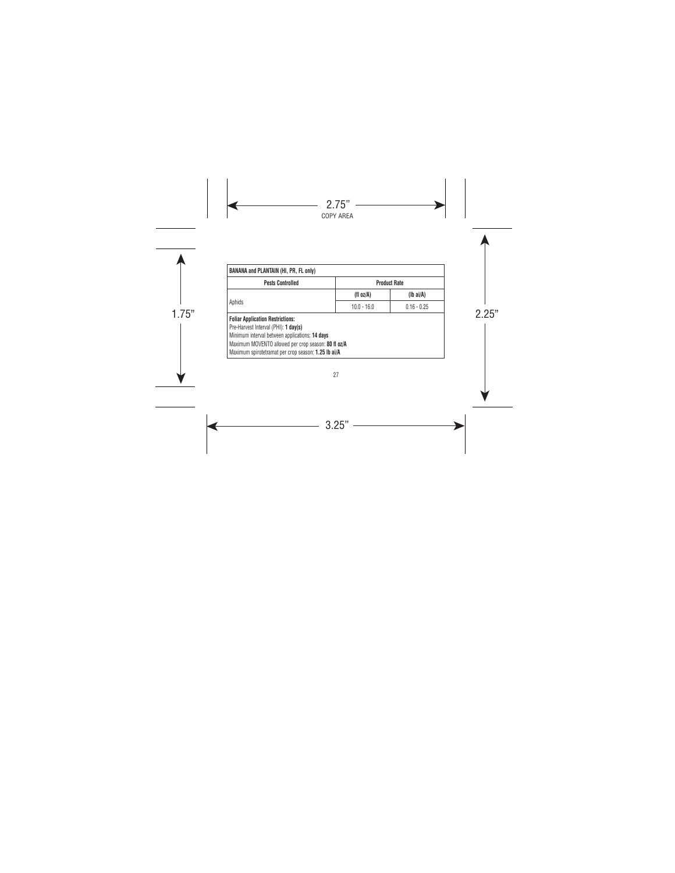| <b>Pests Controlled</b><br><b>Product Rate</b>                                                                                                                                                                                                  |               |                    |
|-------------------------------------------------------------------------------------------------------------------------------------------------------------------------------------------------------------------------------------------------|---------------|--------------------|
| Aphids                                                                                                                                                                                                                                          | (fl $oz/A$ )  | $(lb\text{ ai/A})$ |
|                                                                                                                                                                                                                                                 | $10.0 - 16.0$ | $0.16 - 0.25$      |
| <b>Foliar Application Restrictions:</b><br>Pre-Harvest Interval (PHI): 1 day(s)<br>Minimum interval between applications: 14 days<br>Maximum MOVENTO allowed per crop season: 80 fl oz/A<br>Maximum spirotetramat per crop season: 1.25 lb ai/A |               |                    |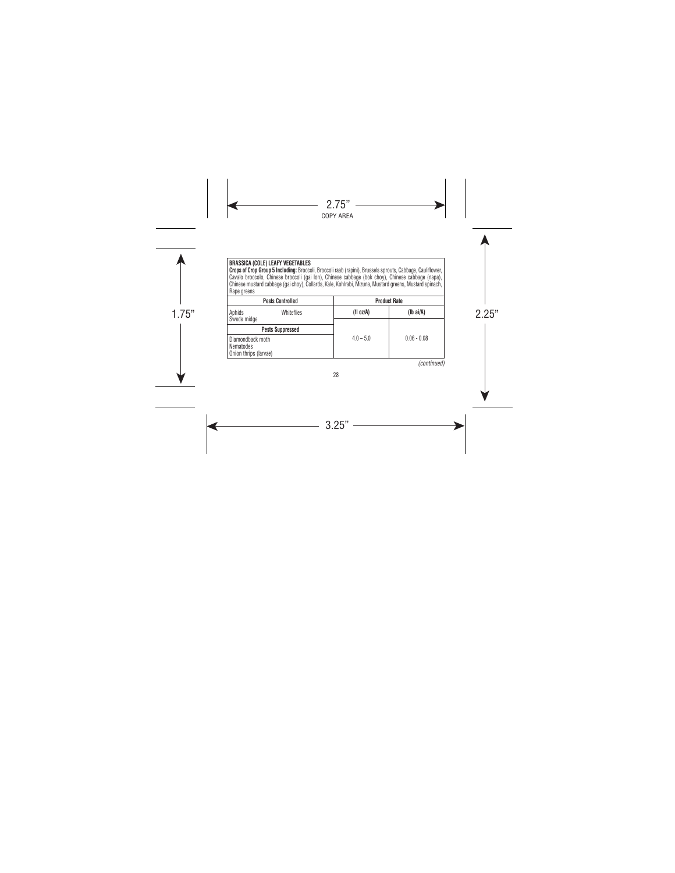## **BRASSICA (COLE) LEAFY VEGETABLES**

**Crops of Crop Group 5 Including:** Broccoli, Broccoli raab (rapini), Brussels sprouts, Cabbage, Cauliflower, Cavalo broccolo, Chinese broccoli (gai lon), Chinese cabbage (bok choy), Chinese cabbage (napa), Chinese mustard cabbage (gai choy), Collards, Kale, Kohlrabi, Mizuna, Mustard greens, Mustard spinach, Rape greens

| <b>Pests Controlled</b>                                | <b>Product Rate</b> |                    |
|--------------------------------------------------------|---------------------|--------------------|
| Aphids<br>Whiteflies                                   | (fl oz/A)           | $(Ib\text{ ai/A})$ |
| Swede midge<br><b>Pests Suppressed</b>                 |                     |                    |
| Diamondback moth<br>Nematodes<br>Onion thrips (larvae) | $4.0 - 5.0$         | $0.06 - 0.08$      |

*(continued)*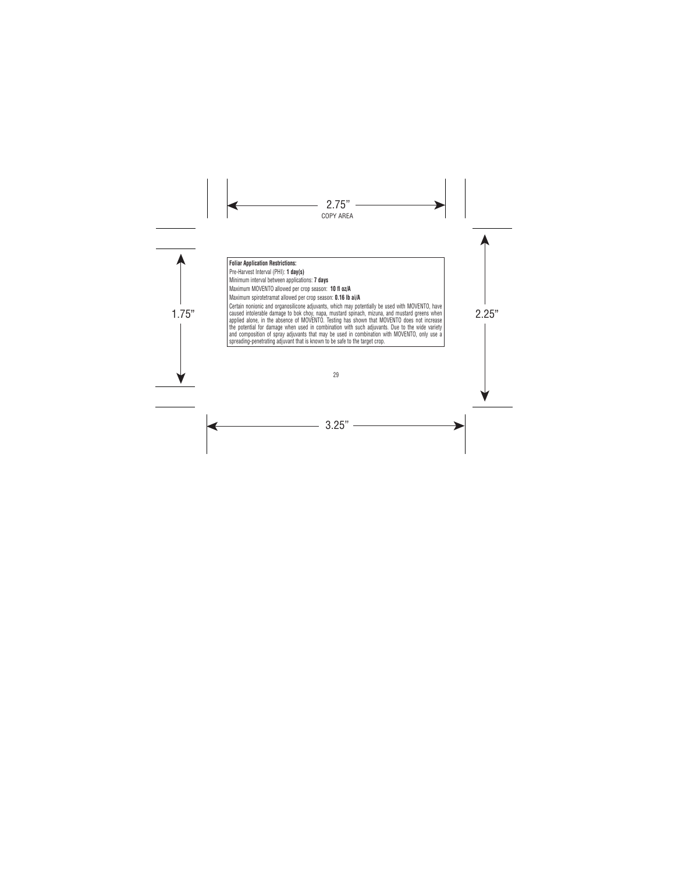# **Foliar Application Restrictions:**

Pre-Harvest Interval (PHI): **1 day(s)** 

Minimum interval between applications: **7 days**

Maximum MOVENTO allowed per crop season: **10 fl oz/A**

Maximum spirotetramat allowed per crop season: **0.16 lb ai/A**

caused intolerable damage to bok choy, napa, mustard spinach, mizuna, and mustard greens when<br>caplied claps, in the choose of MOVENTO, Testing has oboug that MOVENTO does not increase Certain nonionic and organosilicone adjuvants, which may potentially be used with MOVENTO, have applied alone, in the absence of MOVENTO. Testing has shown that MOVENTO does not increase the potential for damage when used in combination with such adjuvants. Due to the wide variety and composition of spray adjuvants that may be used in combination with MOVENTO, only use a spreading-penetrating adjuvant that is known to be safe to the target crop.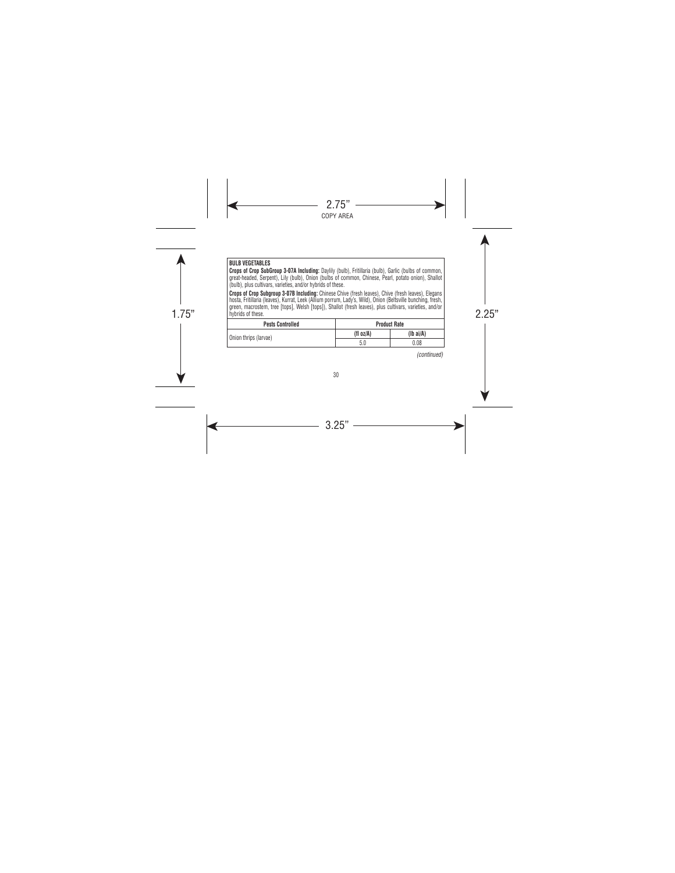## **BULB VEGETABLES**

**Crops of Crop SubGroup 3-07A Including:** Daylily (bulb), Fritillaria (bulb), Garlic (bulbs of common, great-headed, Serpent), Lily (bulb), Onion (bulbs of common, Chinese, Pearl, potato onion), Shallot (bulb), plus cultivars, varieties, and/or hybrids of these.

hybrids of these.<br>
hybrids of these. **Crops of Crop Subgroup 3-07B Including:** Chinese Chive (fresh leaves), Chive (fresh leaves), Elegans hosta, Fritillaria (leaves), Kurrat, Leek (Allium porrum, Lady's, Wild), Onion (Beltsville bunching, fresh, green, macrostem, tree [tops], Welsh [tops]), Shallot (fresh leaves), plus cultivars, varieties, and/or hybrids of these.

| <b>Pests Controlled</b> |           | <b>Product Rate</b> |
|-------------------------|-----------|---------------------|
| Onion thrips (larvae)   | (fl oz/A) | (Ib ai/A)           |
|                         | 5.0       | 0.08                |

*(continued)*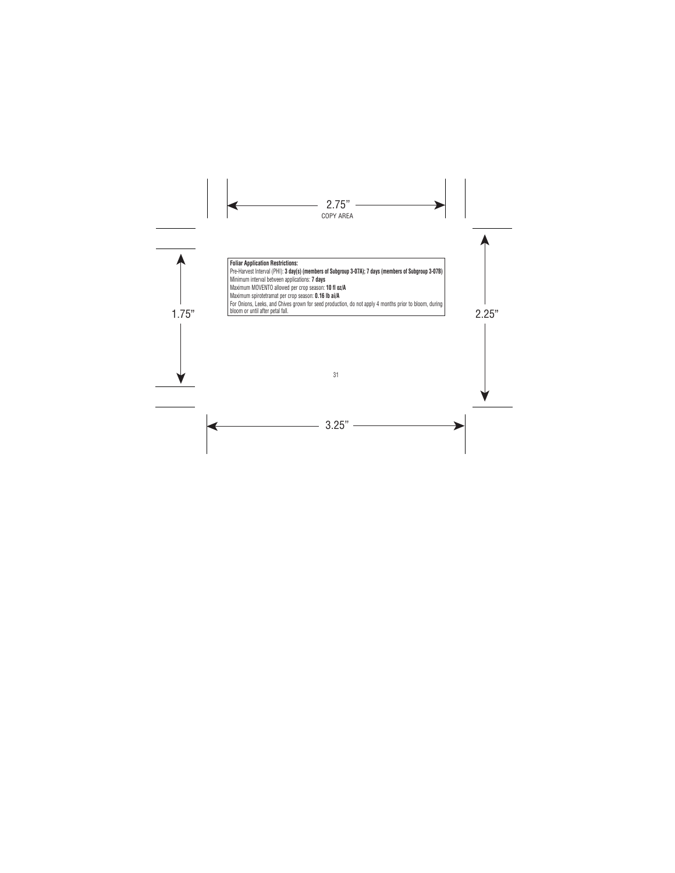hoom or until after petal tall. **Foliar Application Restrictions:**  Pre-Harvest Interval (PHI): **3 day(s) (members of Subgroup 3-07A); 7 days (members of Subgroup 3-07B)** Minimum interval between applications: **7 days** Maximum MOVENTO allowed per crop season: **10 fl oz/A** Maximum spirotetramat per crop season: **0.16 lb ai/A** For Onions, Leeks, and Chives grown for seed production, do not apply 4 months prior to bloom, during bloom or until after petal fall.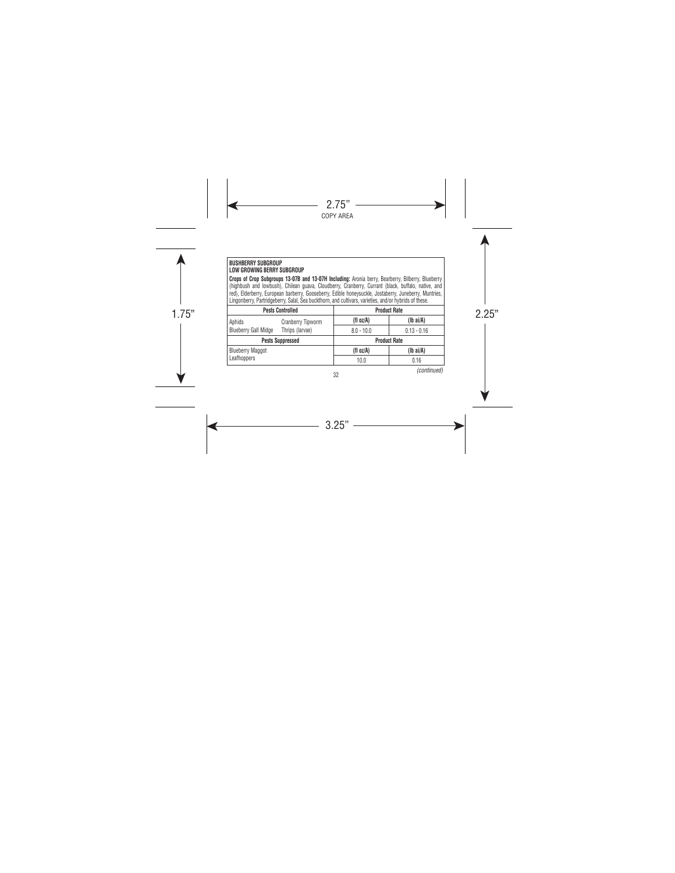#### **BUSHBERRY SUBGROUP LOW GROWING BERRY SUBGROUP**

**Crops of Crop Subgroups 13-07B and 13-07H Including:** Aronia berry, Bearberry, Bilberry, Blueberry (highbush and lowbush), Chilean guava, Cloudberry, Cranberry, Currant (black, buffalo, native, and red), Elderberry, European barberry, Gooseberry, Edible honeysuckle, Jostaberry, Juneberry, Muntries, Lingonberry, Partridgeberry, Salal, Sea buckthorn, and cultivars, varieties, and/or hybrids of these.

| <b>Pests Controlled</b>     |                   | <b>Product Rate</b> |                    |  |
|-----------------------------|-------------------|---------------------|--------------------|--|
| Aphids                      | Cranberry Tipworm | (fl oz/A)           | $(Ib\text{ ai/A})$ |  |
| <b>Blueberry Gall Midge</b> | Thrips (larvae)   | $8.0 - 10.0$        | $0.13 - 0.16$      |  |
| <b>Pests Suppressed</b>     |                   | <b>Product Rate</b> |                    |  |
| <b>Blueberry Maggot</b>     |                   | (fl oz/A)           | $(Ib\text{ ai/A})$ |  |
| Leafhoppers                 |                   | 10.0                | 0.16               |  |

*(continued)*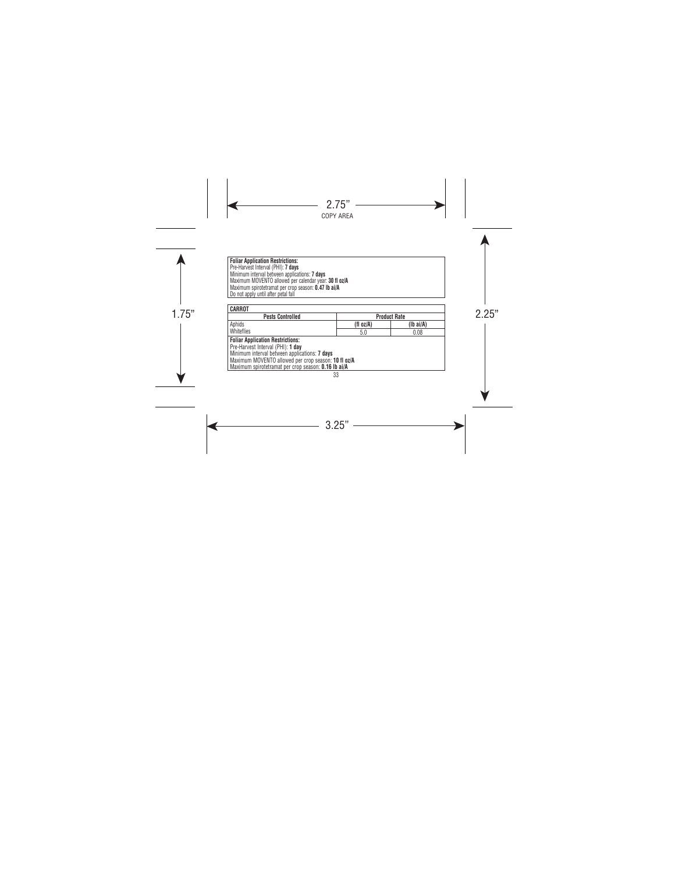Foliar Application Hestrictions:<br>Pre-Harvest Interval (PHI): 7 **days**<br>Minimum interval between applications: **7 days**<br>Maximum MOVENTO allowed per calendar year: **30 fl oz/A**<br>Maximum spirotetranat leer crop season: **0.47 lb** 

| <b>Pests Controlled</b>                                    |           | <b>Product Rate</b> |  |
|------------------------------------------------------------|-----------|---------------------|--|
| Aphids                                                     | (fl oz/A) | (Ib ai/A)           |  |
| Whiteflies                                                 | 5.0       | 0.08                |  |
| <b>Foliar Application Restrictions:</b>                    |           |                     |  |
| Pre-Harvest Interval (PHI): 1 day                          |           |                     |  |
| Minimum interval between applications: 7 days              |           |                     |  |
| Maximum MOVENTO allowed per crop season: 10 fl oz/A        |           |                     |  |
| Maximum spirotetramat per crop season: <b>0.16 lb ai/A</b> |           |                     |  |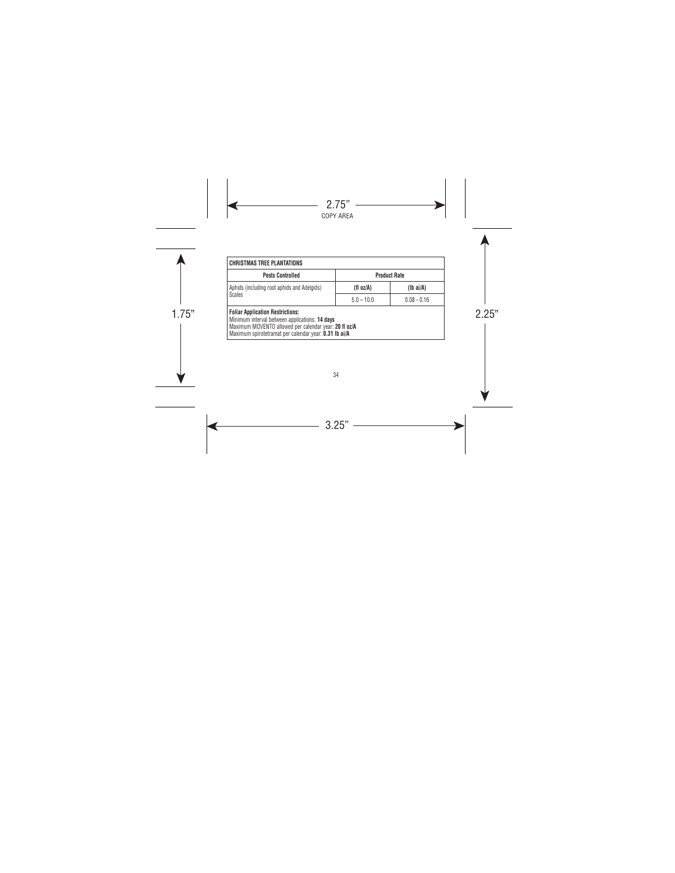| <b>CHRISTMAS TREE PLANTATIONS</b>                                                                                                                                                                           |              |                     |
|-------------------------------------------------------------------------------------------------------------------------------------------------------------------------------------------------------------|--------------|---------------------|
| <b>Pests Controlled</b>                                                                                                                                                                                     |              | <b>Product Rate</b> |
| Aphids (including root aphids and Adelgids)                                                                                                                                                                 | (fl oz/A)    | $(Ib\text{ ai/A})$  |
| <b>Scales</b>                                                                                                                                                                                               | $5.0 - 10.0$ | $0.08 - 0.16$       |
| <b>Foliar Application Restrictions:</b><br>Minimum interval between applications: 14 days<br>Maximum MOVENTO allowed per calendar year: 20 fl oz/A<br>Maximum spirotetramat per calendar year: 0.31 lb ai/A |              |                     |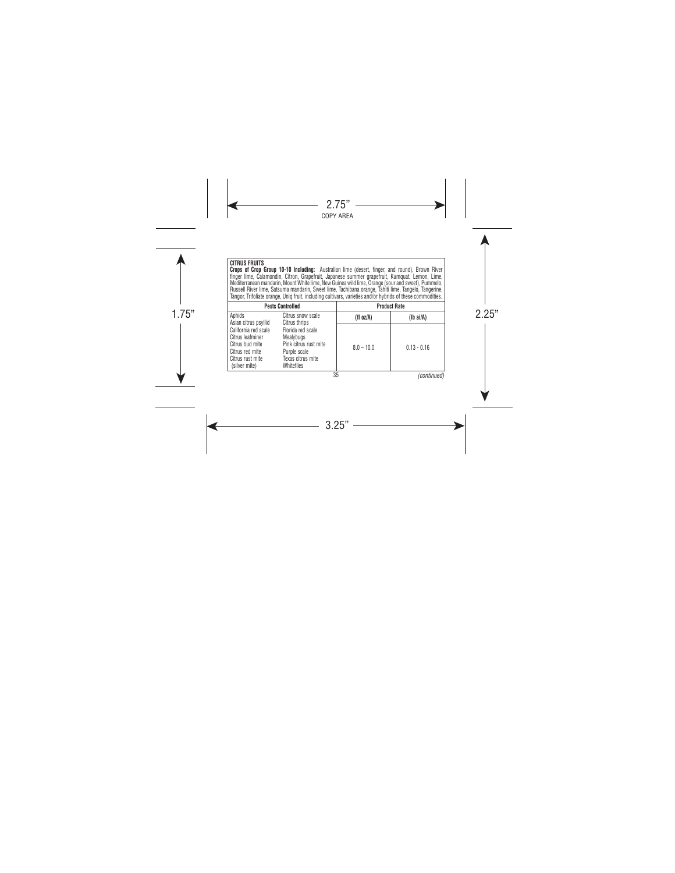| CITRUS FRUITS                                                                                                       | Crops of Crop Group 10-10 Including: Australian lime (desert, finger, and round), Brown River<br>finger lime, Calamondin, Citron, Grapefruit, Japanese summer grapefruit, Kumquat, Lemon, Lime,<br>Mediterranean mandarin, Mount White lime, New Guinea wild lime, Orange (sour and sweet), Pummelo,<br>Russell River lime. Satsuma mandarin. Sweet lime. Tachibana orange. Tahiti lime. Tangelo. Tangerine.<br>Tangor, Trifoliate orange, Unig fruit, including cultivars, varieties and/or hybrids of these commodities. |              |                     |
|---------------------------------------------------------------------------------------------------------------------|----------------------------------------------------------------------------------------------------------------------------------------------------------------------------------------------------------------------------------------------------------------------------------------------------------------------------------------------------------------------------------------------------------------------------------------------------------------------------------------------------------------------------|--------------|---------------------|
|                                                                                                                     | <b>Pests Controlled</b>                                                                                                                                                                                                                                                                                                                                                                                                                                                                                                    |              | <b>Product Rate</b> |
| Aphids<br>Asian citrus psyllid                                                                                      | Citrus snow scale<br>Citrus thrips                                                                                                                                                                                                                                                                                                                                                                                                                                                                                         | (fl oz/A)    | $(Ib\ ai/A)$        |
| California red scale<br>Citrus leafminer<br>Citrus bud mite<br>Citrus red mite<br>Citrus rust mite<br>(silver mite) | Florida red scale<br>Mealybugs<br>Pink citrus rust mite<br>Purple scale<br>Texas citrus mite<br><b>Whiteflies</b>                                                                                                                                                                                                                                                                                                                                                                                                          | $8.0 - 10.0$ | $0.13 - 0.16$       |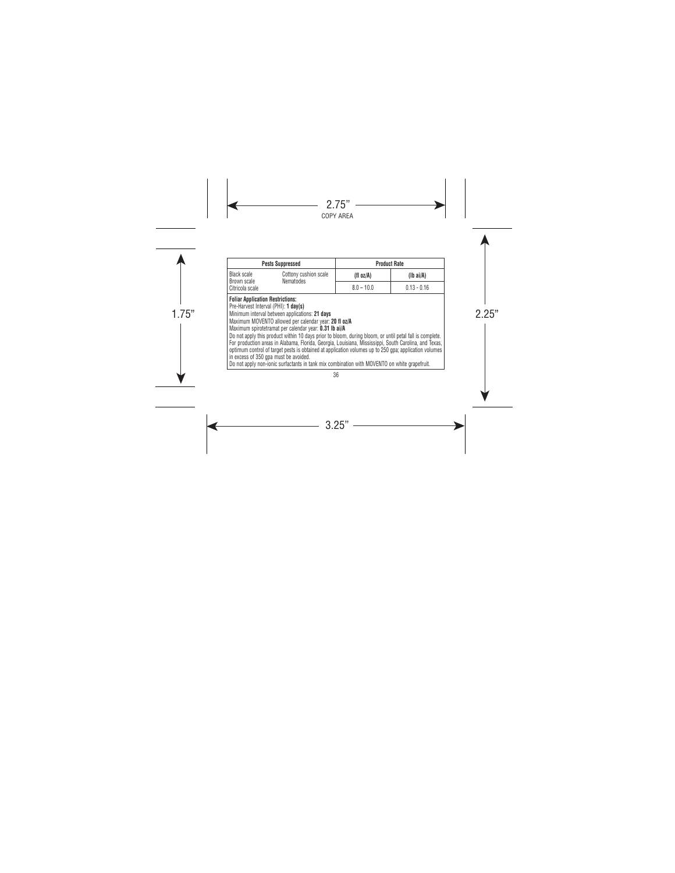| <b>Pests Suppressed</b>                                                                                                                                                                                                                                                                                                                                                                                                                                                                                                                                                                                                                                                        |              | <b>Product Rate</b> |
|--------------------------------------------------------------------------------------------------------------------------------------------------------------------------------------------------------------------------------------------------------------------------------------------------------------------------------------------------------------------------------------------------------------------------------------------------------------------------------------------------------------------------------------------------------------------------------------------------------------------------------------------------------------------------------|--------------|---------------------|
| <b>Black scale</b><br>Cottony cushion scale                                                                                                                                                                                                                                                                                                                                                                                                                                                                                                                                                                                                                                    | (fl oz/A)    | $(lb\ a i/A)$       |
| <b>Nematodes</b><br>Brown scale<br>Citricola scale                                                                                                                                                                                                                                                                                                                                                                                                                                                                                                                                                                                                                             | $8.0 - 10.0$ | $0.13 - 0.16$       |
| Pre-Harvest Interval (PHI): 1 day(s)<br>Minimum interval between applications: 21 days<br>Maximum MOVENTO allowed per calendar year: 20 fl oz/A<br>Maximum spirotetramat per calendar year: 0.31 lb ai/A<br>Do not apply this product within 10 days prior to bloom, during bloom, or until petal fall is complete.<br>For production areas in Alabama, Florida, Georgia, Louisiana, Mississippi, South Carolina, and Texas,<br>optimum control of target pests is obtained at application volumes up to 250 gpa; application volumes<br>in excess of 350 gpa must be avoided.<br>Do not apply non-jonic surfactants in tank mix combination with MOVENTO on white grapefruit. |              |                     |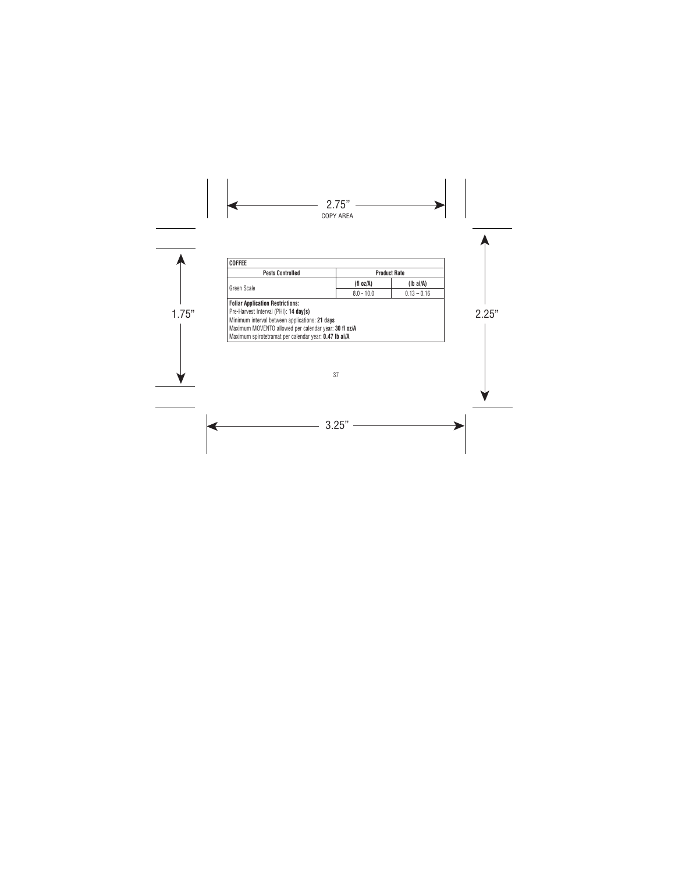| <b>Pests Controlled</b>                               | <b>Product Rate</b> |                    |
|-------------------------------------------------------|---------------------|--------------------|
|                                                       | (fl oz/A)           | $(lb\text{ ai/A})$ |
| Green Scale                                           | $8.0 - 10.0$        | $0.13 - 0.16$      |
| <b>Foliar Application Restrictions:</b>               |                     |                    |
| Pre-Harvest Interval (PHI): 14 day(s)                 |                     |                    |
| Minimum interval between applications: 21 days        |                     |                    |
| Maximum MOVENTO allowed per calendar year: 30 fl oz/A |                     |                    |
| Maximum spirotetramat per calendar year: 0.47 lb ai/A |                     |                    |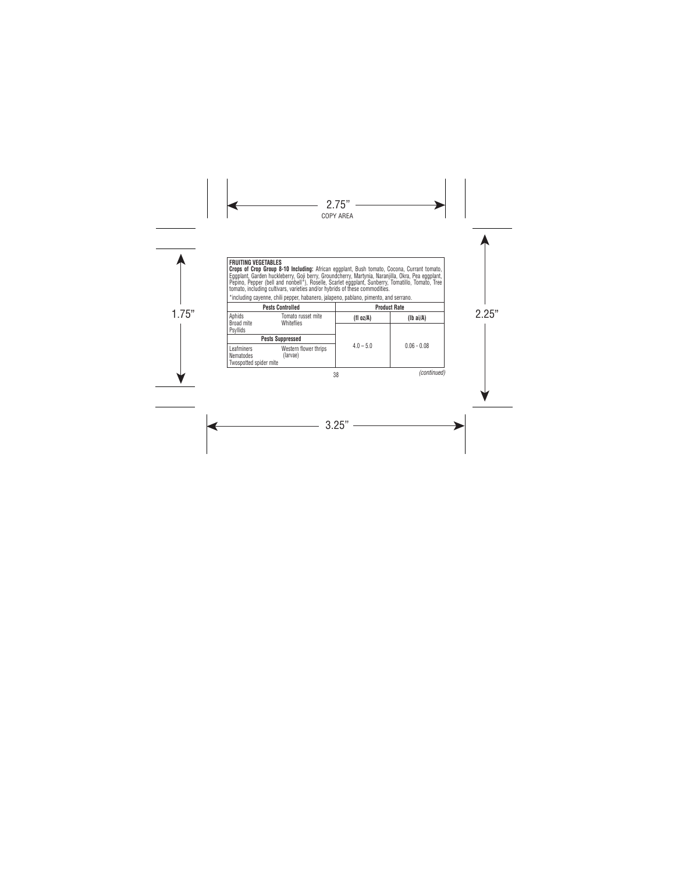#### **FRUITING VEGETABLES**

**Crops of Crop Group 8-10 Including:** African eggplant, Bush tomato, Cocona, Currant tomato, Eggplant, Garden huckleberry, Goji berry, Groundcherry, Martynia, Naranjilla, Okra, Pea eggplant, Pepino, Pepper (bell and nonbell\*), Roselle, Scarlet eggplant, Sunberry, Tomatillo, Tomato, Tree tomato, including cultivars, varieties and/or hybrids of these commodities.

\*including cayenne, chili pepper, habanero, jalapeno, pablano, pimento, and serrano.

|                                                   | <b>Pests Controlled</b>           |             | <b>Product Rate</b> |
|---------------------------------------------------|-----------------------------------|-------------|---------------------|
| Aphids<br>Broad mite                              | Tomato russet mite<br>Whiteflies  | (fl oz/A)   | $(lb\text{ ai/A})$  |
| Psyllids                                          |                                   |             |                     |
| <b>Pests Suppressed</b>                           |                                   |             |                     |
| Leafminers<br>Nematodes<br>Twospotted spider mite | Western flower thrips<br>(larvae) | $4.0 - 5.0$ | $0.06 - 0.08$       |

38

*(continued)*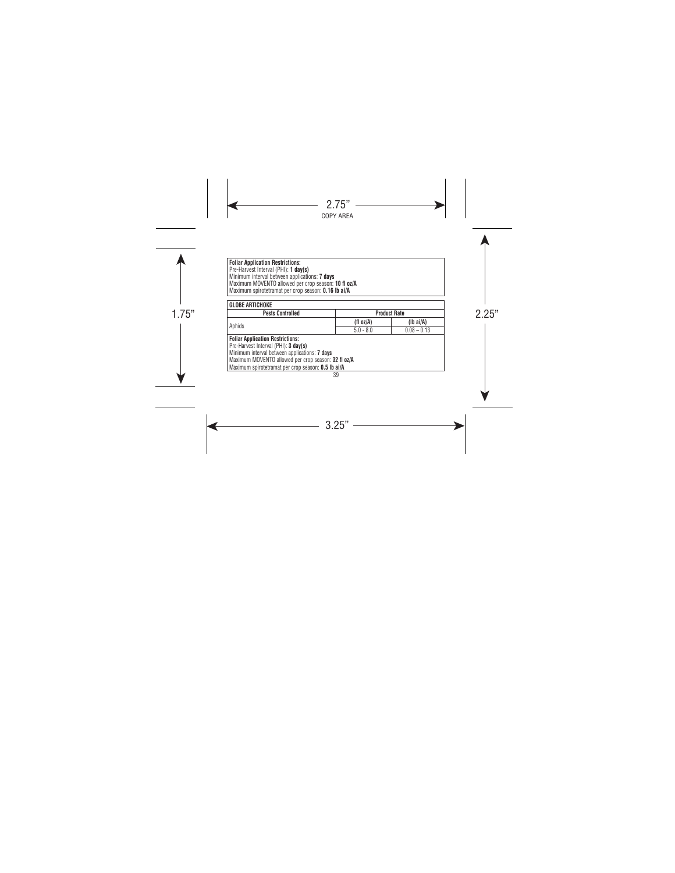**Foliar Application Restrictions:**  Pre-Harvest Interval (PHI): **1 day(s)**  Minimum interval between applications: **7 days** Maximum MOVENTO allowed per crop season: **10 fl oz/A**  Maximum spirotetramat per crop season: **0.16 lb ai/A**

| <b>Pests Controlled</b>                             |              | <b>Product Rate</b> |
|-----------------------------------------------------|--------------|---------------------|
| Aphids                                              | (fl $oz/A$ ) | $(lb\ ai/A)$        |
|                                                     | $5.0 - 8.0$  | $0.08 - 0.13$       |
| <b>Foliar Application Restrictions:</b>             |              |                     |
| Pre-Harvest Interval (PHI): 3 day(s)                |              |                     |
| Minimum interval between applications: 7 days       |              |                     |
| Maximum MOVENTO allowed per crop season: 32 fl oz/A |              |                     |
| Maximum spirotetramat per crop season: 0.5 lb ai/A  |              |                     |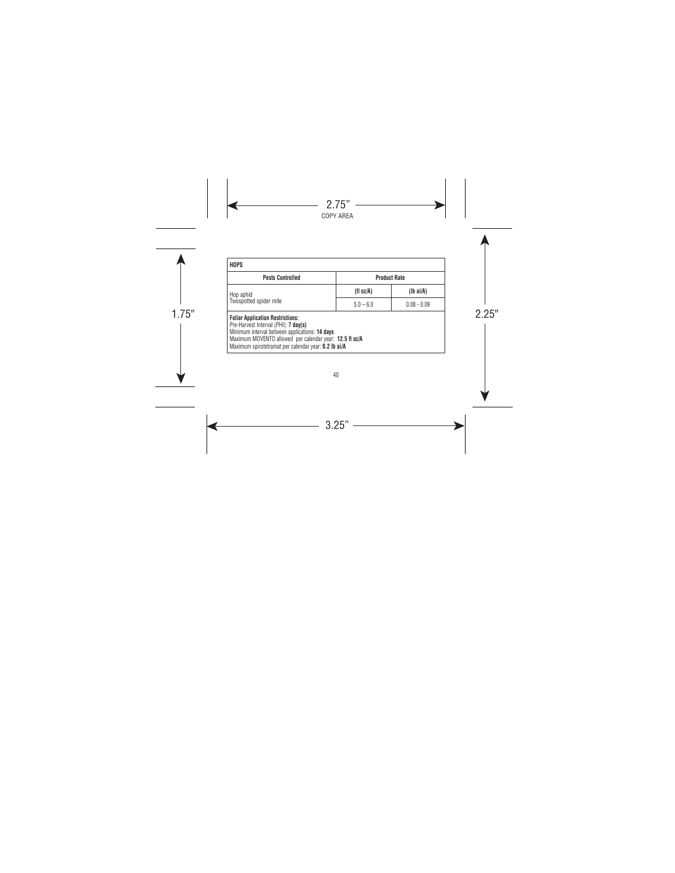| <b>HOPS</b>                                                                                                                                                                                                                                          |             |                     |
|------------------------------------------------------------------------------------------------------------------------------------------------------------------------------------------------------------------------------------------------------|-------------|---------------------|
| <b>Pests Controlled</b>                                                                                                                                                                                                                              |             | <b>Product Rate</b> |
| Hop aphid                                                                                                                                                                                                                                            | (fl oz/A)   | $(Ib\ ai/A)$        |
| Twospotted spider mite                                                                                                                                                                                                                               | $5.0 - 6.0$ | $0.08 - 0.09$       |
| <b>Foliar Application Restrictions:</b><br>Pre-Harvest Interval (PHI): 7 day(s)<br>Minimum interval between applications: 14 days<br>Maximum MOVENTO allowed per calendar year: 12.5 fl oz/A<br>Maximum spirotetramat per calendar year: 0.2 lb ai/A |             |                     |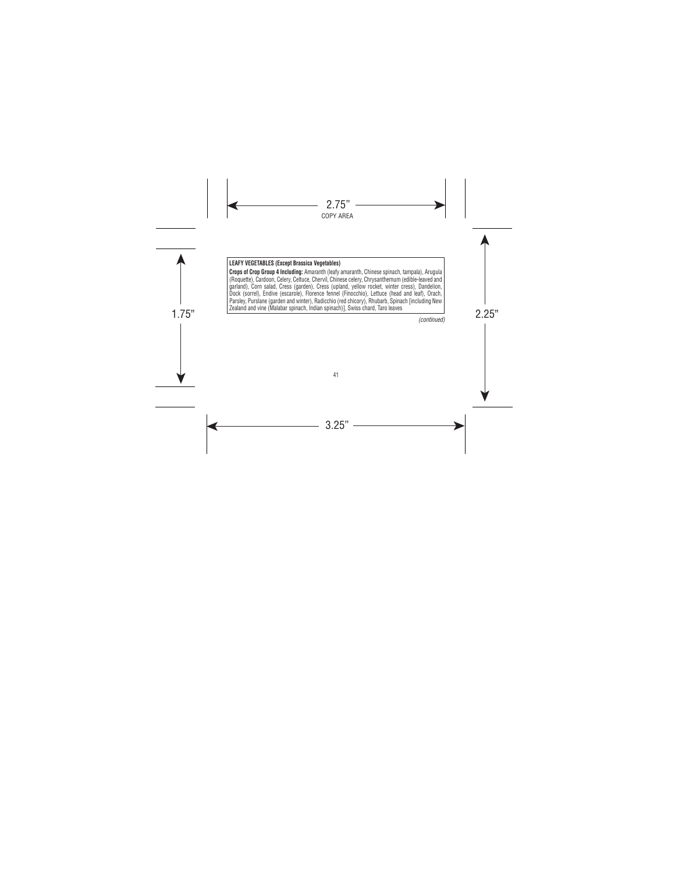## **LEAFY VEGETABLES (Except Brassica Vegetables)**

2. Examento and vine (manuta opination, intitati opination)], Oviso Unarti, Tarti Icaves **Crops of Crop Group 4 Including:** Amaranth (leafy amaranth, Chinese spinach, tampala), Arugula (Roquette), Cardoon, Celery, Celtuce, Chervil, Chinese celery, Chrysanthemum (edible-leaved and garland), Corn salad, Cress (garden), Cress (upland, yellow rocket, winter cress), Dandelion, Dock (sorrel), Endive (escarole), Florence fennel (Finocchio), Lettuce (head and leaf), Orach, Parsley, Purslane (garden and winter), Radicchio (red chicory), Rhubarb, Spinach [including New Zealand and vine (Malabar spinach, Indian spinach)], Swiss chard, Taro leaves

*(continued)*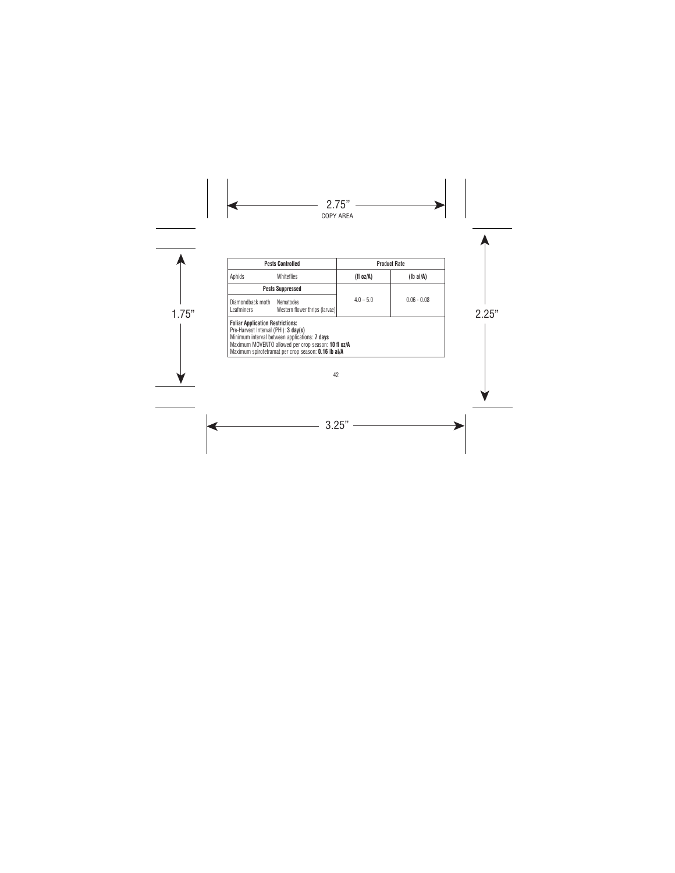|                                                                                 | <b>Pests Controlled</b>                                                                                                                                     |             | <b>Product Rate</b> |
|---------------------------------------------------------------------------------|-------------------------------------------------------------------------------------------------------------------------------------------------------------|-------------|---------------------|
| Aphids                                                                          | <b>Whiteflies</b>                                                                                                                                           | (fl oz/A)   | $(lb\text{ ai/A})$  |
|                                                                                 | <b>Pests Suppressed</b>                                                                                                                                     |             |                     |
| Diamondback moth<br><b>Leafminers</b>                                           | Nematodes<br>Western flower thrips (larvae)                                                                                                                 | $4.0 - 5.0$ | $0.06 - 0.08$       |
| <b>Foliar Application Restrictions:</b><br>Pre-Harvest Interval (PHI): 3 day(s) | Minimum interval between applications: 7 days<br>Maximum MOVENTO allowed per crop season: 10 fl oz/A<br>Maximum spirotetramat per crop season: 0.16 lb ai/A |             |                     |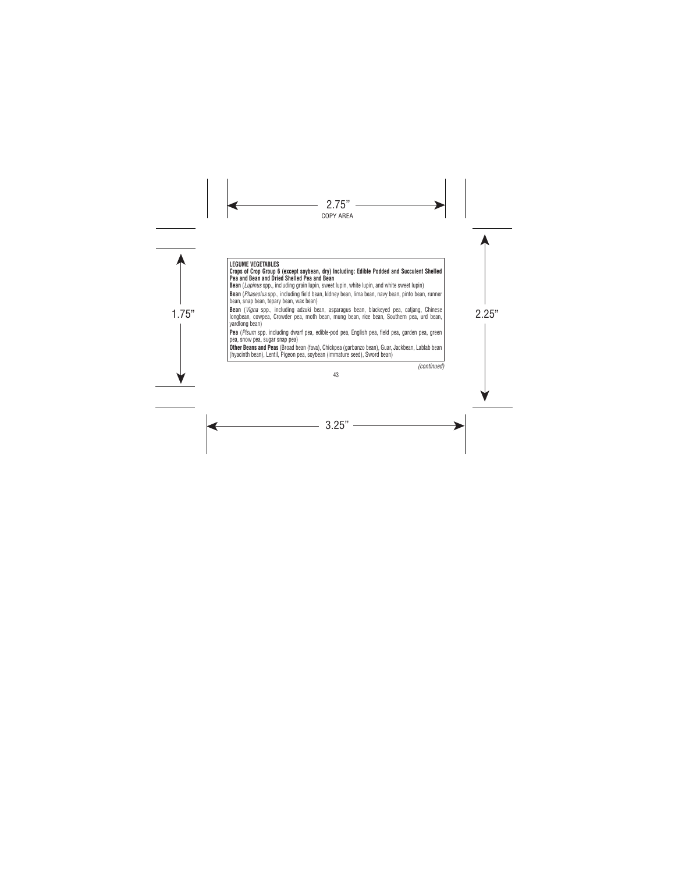**i Bean** (*vigna* spp., including adzuki bean, asparagus bean, biackeyed pea, caljang, chinese |<br>|longbean, cowpea, Crowder pea, moth bean, mung bean, rice bean, Southern pea, urd bean, | **LEGUME VEGETABLES Crops of Crop Group 6 (except soybean, dry) Including: Edible Podded and Succulent Shelled Pea and Bean and Dried Shelled Pea and Bean Bean** (*Lupinus* spp., including grain lupin, sweet lupin, white lupin, and white sweet lupin) **Bean** (*Phaseolus* spp., including field bean, kidney bean, lima bean, navy bean, pinto bean, runner bean, snap bean, tepary bean, wax bean) **Bean** (*Vigna* spp., including adzuki bean, asparagus bean, blackeyed pea, catjang, Chinese yardlong bean) **Pea** (*Pisum* spp. including dwarf pea, edible-pod pea, English pea, field pea, garden pea, green pea, snow pea, sugar snap pea) **Other Beans and Peas** (Broad bean (fava), Chickpea (garbanzo bean), Guar, Jackbean, Lablab bean (hyacinth bean), Lentil, Pigeon pea, soybean (immature seed), Sword bean)

*(continued)*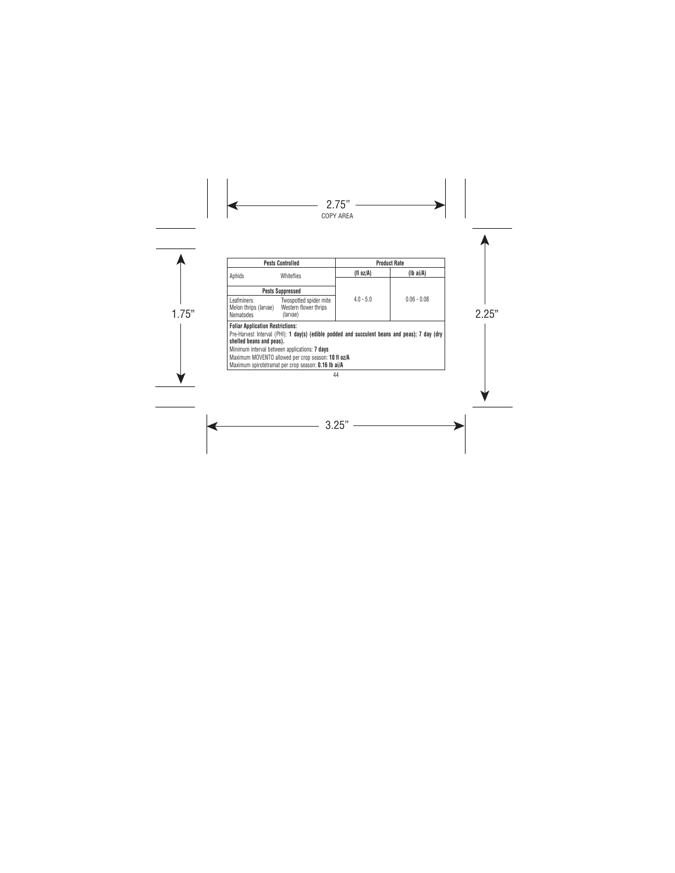|                                                                     | <b>Pests Controlled</b>                                                                       |             | <b>Product Rate</b> |
|---------------------------------------------------------------------|-----------------------------------------------------------------------------------------------|-------------|---------------------|
| Aphids                                                              | <b>Whiteflies</b>                                                                             | (fl oz/A)   | $(Ib\ ai/A)$        |
|                                                                     |                                                                                               |             |                     |
|                                                                     | <b>Pests Suppressed</b>                                                                       |             |                     |
| Leafminers<br>Melon thrips (larvae)<br>Nematodes                    | Twospotted spider mite<br>Western flower thrips<br>(larvae)                                   | $4.0 - 5.0$ | $0.06 - 0.08$       |
| <b>Foliar Application Restrictions:</b><br>shelled beans and peas). | Pre-Harvest Interval (PHI): 1 day(s) (edible podded and succulent beans and peas); 7 day (dry |             |                     |
|                                                                     | Minimum interval between applications: 7 days                                                 |             |                     |
|                                                                     | Maximum MOVENTO allowed per crop season: 10 fl oz/A                                           |             |                     |
|                                                                     | Maximum spirotetramat per crop season: 0.16 lb ai/A                                           |             |                     |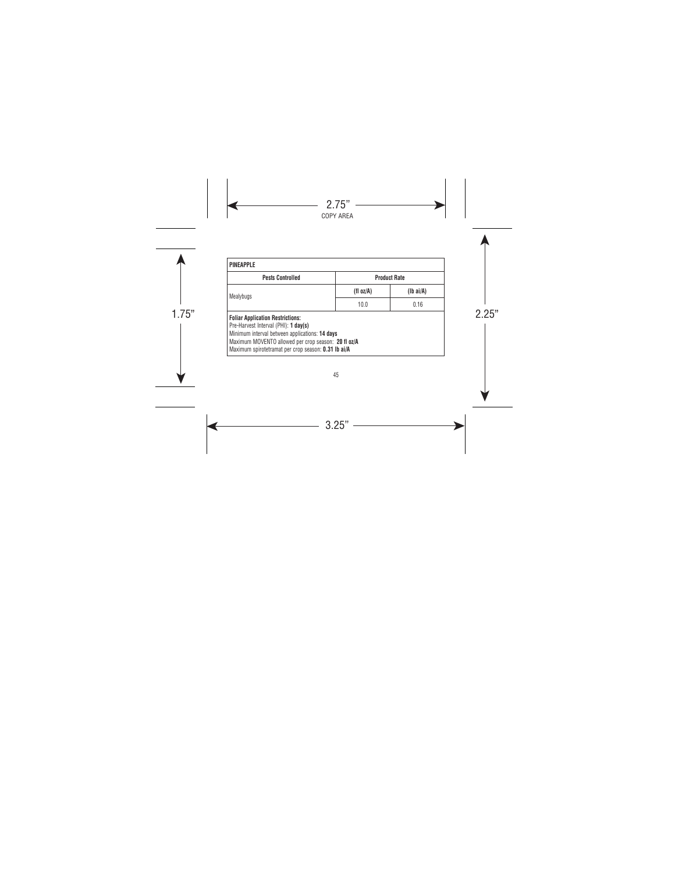| <b>Pests Controlled</b>                                                                                                                                                                                                                         |           | <b>Product Rate</b> |
|-------------------------------------------------------------------------------------------------------------------------------------------------------------------------------------------------------------------------------------------------|-----------|---------------------|
| Mealybugs                                                                                                                                                                                                                                       | (fl oz/A) | $(lb\text{ ai/A})$  |
|                                                                                                                                                                                                                                                 | 10.0      | 0.16                |
| <b>Foliar Application Restrictions:</b><br>Pre-Harvest Interval (PHI): 1 day(s)<br>Minimum interval between applications: 14 days<br>Maximum MOVENTO allowed per crop season: 20 fl oz/A<br>Maximum spirotetramat per crop season: 0.31 lb ai/A |           |                     |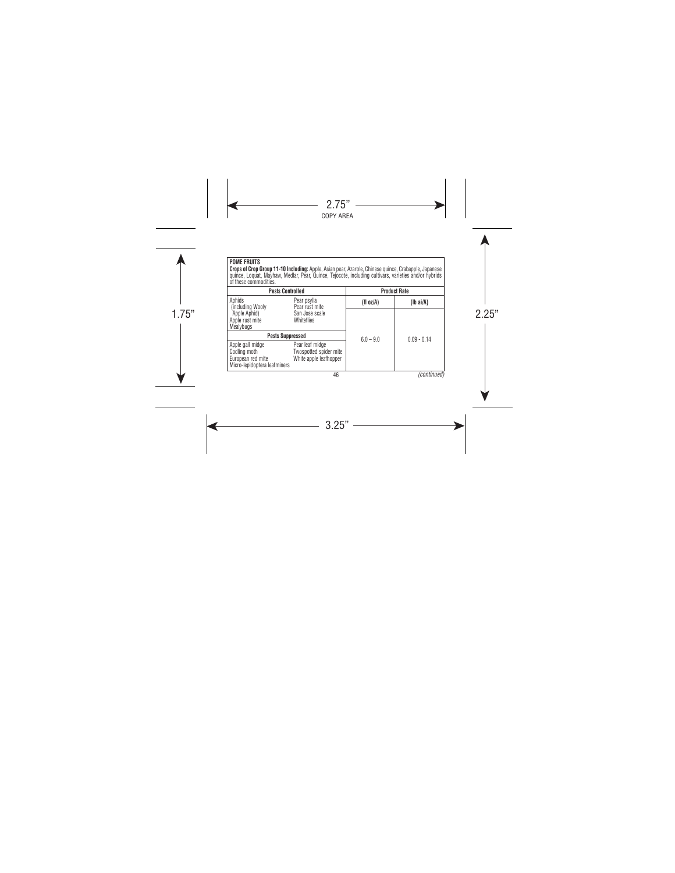**POME FRUITS Crops of Crop Group 11-10 Including:** Apple, Asian pear, Azarole, Chinese quince, Crabapple, Japanese<br>quince, Loquat, Mayhaw, Medlar, Pear, Quince, Tejocote, including cultivars, varieties and/or hybrids of these commodities.

| <b>Pests Controlled</b>                                                               |                                                                     | <b>Product Rate</b> |                    |
|---------------------------------------------------------------------------------------|---------------------------------------------------------------------|---------------------|--------------------|
| Aphids<br>(including Wooly)                                                           | Pear psylla<br>Pear rust mite                                       | (fl oz/A)           | $(lb\text{ ai/A})$ |
| Apple Aphid)<br>Apple rust mite<br>Mealybugs                                          | San Jose scale<br>Whiteflies                                        |                     |                    |
| <b>Pests Suppressed</b>                                                               |                                                                     | $6.0 - 9.0$         | $0.09 - 0.14$      |
| Apple gall midge<br>Codling moth<br>European red mite<br>Micro-lepidoptera leafminers | Pear leaf midge<br>Twospotted spider mite<br>White apple leafhopper |                     |                    |
|                                                                                       | 46                                                                  |                     | (continued)        |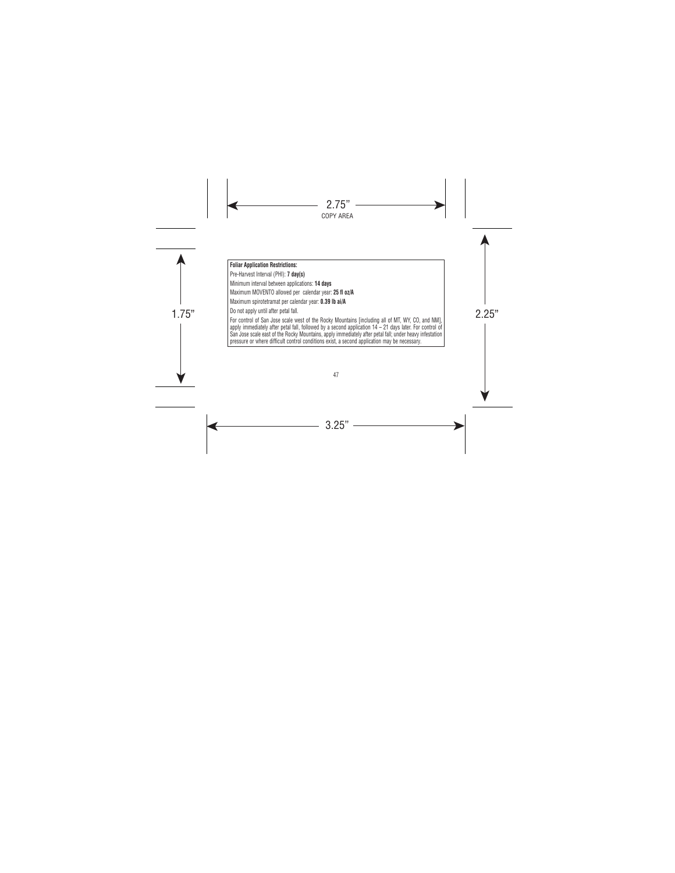#### **Foliar Application Restrictions:**

Pre-Harvest Interval (PHI): **7 day(s)** 

Minimum interval between applications: **14 days**

Maximum MOVENTO allowed per calendar year: **25 fl oz/A**

Maximum spirotetramat per calendar year: **0.39 lb ai/A**

Do not apply until after petal fall.

| Do not apply until atter petal tall.<br>| For control of San Jose scale west of the Rocky Mountains [including all of MT, WY, CO, and NM], | apply immediately after petal fall, followed by a second application 14 – 21 days later. For control of San Jose scale east of the Rocky Mountains, apply immediately after petal fall; under heavy infestation pressure or where difficult control conditions exist, a second application may be necessary.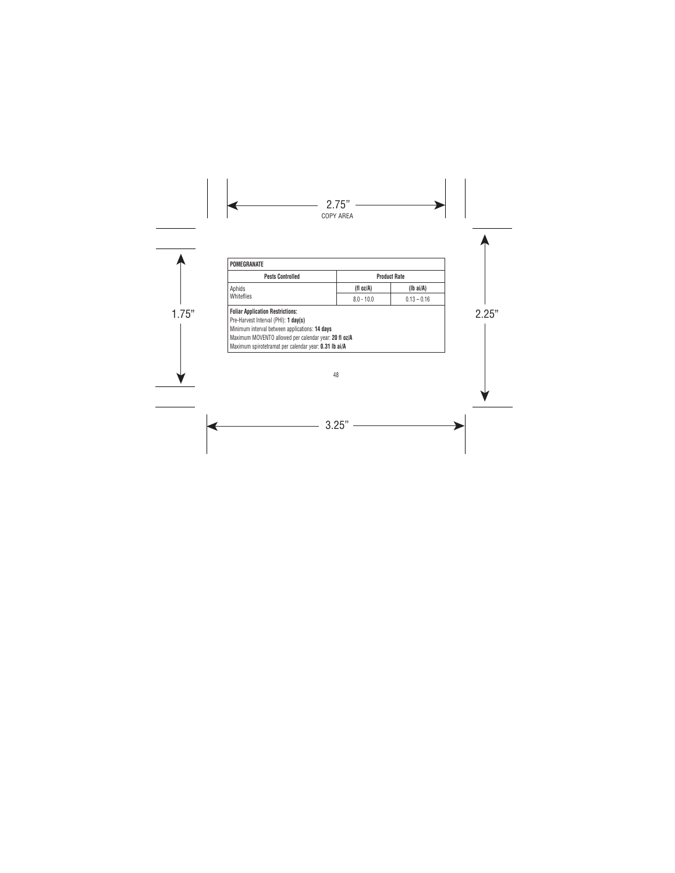| POMEGRANATE                                                                     |              |                     |
|---------------------------------------------------------------------------------|--------------|---------------------|
| <b>Pests Controlled</b>                                                         |              | <b>Product Rate</b> |
| Aphids<br>Whiteflies                                                            | (fl oz/A)    | $(lb\text{ ai/A})$  |
|                                                                                 | $8.0 - 10.0$ | $0.13 - 0.16$       |
| <b>Foliar Application Restrictions:</b><br>Pre-Harvest Interval (PHI): 1 day(s) |              |                     |
| Minimum interval between applications: 14 days                                  |              |                     |
| Maximum MOVENTO allowed per calendar year: 20 fl oz/A                           |              |                     |
| Maximum spirotetramat per calendar year: 0.31 lb ai/A                           |              |                     |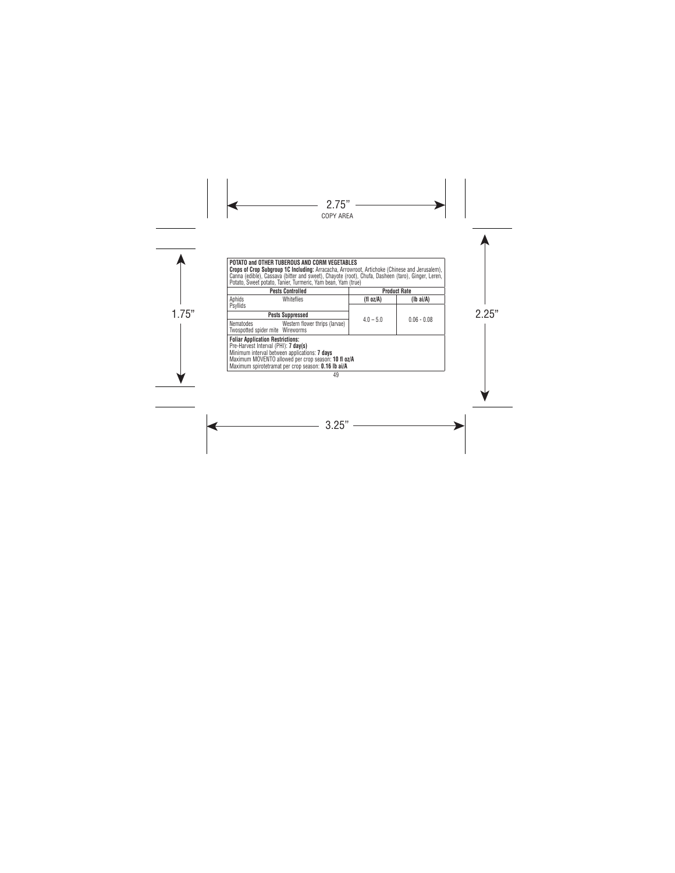**POTATO and OTHER TUBEROUS AND CORM VEGETABLES Crops of Crop Subgroup 1C Including:** Arracacha, Arrowroot, Artichoke (Chinese and Jerusalem),<br>Canna (edible), Cassava (bitter and sweet), Chayote (root), Chufa, Dasheen (taro), Ginger, Leren,<br>Potato, Sweet potato, Tanier

|                                                                                 | <b>Pests Controlled</b>                                                                                                                                            |             | <b>Product Rate</b> |
|---------------------------------------------------------------------------------|--------------------------------------------------------------------------------------------------------------------------------------------------------------------|-------------|---------------------|
| Aphids                                                                          | Whiteflies                                                                                                                                                         | (fl oz/A)   | $(lb\text{ ai/A})$  |
| Psyllids                                                                        |                                                                                                                                                                    |             |                     |
|                                                                                 | <b>Pests Suppressed</b>                                                                                                                                            |             |                     |
| Nematodes<br>Twospotted spider mite Wireworms                                   | Western flower thrips (larvae)                                                                                                                                     | $4.0 - 5.0$ | $0.06 - 0.08$       |
| <b>Foliar Application Restrictions:</b><br>Pre-Harvest Interval (PHI): 7 day(s) | Minimum interval between applications: 7 days<br>Maximum MOVENTO allowed per crop season: 10 fl oz/A<br>Maximum spirotetramat per crop season: <b>0.16 lb ai/A</b> |             |                     |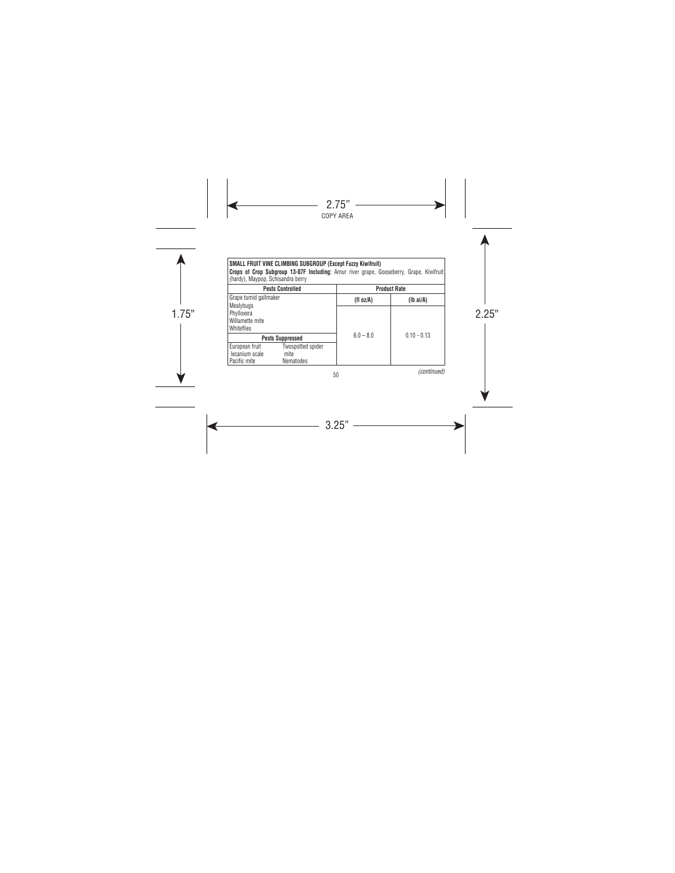# **SMALL FRUIT VINE CLIMBING SUBGROUP (Except Fuzzy Kiwifruit)**

**Crops of Crop Subgroup 13-07F Including:** Amur river grape, Gooseberry, Grape, Kiwifruit<br>(hardy), Maypop, Schisandra berry

|                                                          | <b>Pests Controlled</b>                |             | <b>Product Rate</b> |
|----------------------------------------------------------|----------------------------------------|-------------|---------------------|
| Grape tumid gallmaker                                    |                                        | (fl oz/A)   | $(Ib\text{ ai/A})$  |
| Mealybugs<br>Phylloxera<br>Willamette mite<br>Whiteflies |                                        |             |                     |
|                                                          | <b>Pests Suppressed</b>                | $6.0 - 8.0$ | $0.10 - 0.13$       |
| European fruit<br>lecanium scale<br>Pacific mite         | Twospotted spider<br>mite<br>Nematodes |             |                     |

*(continued)*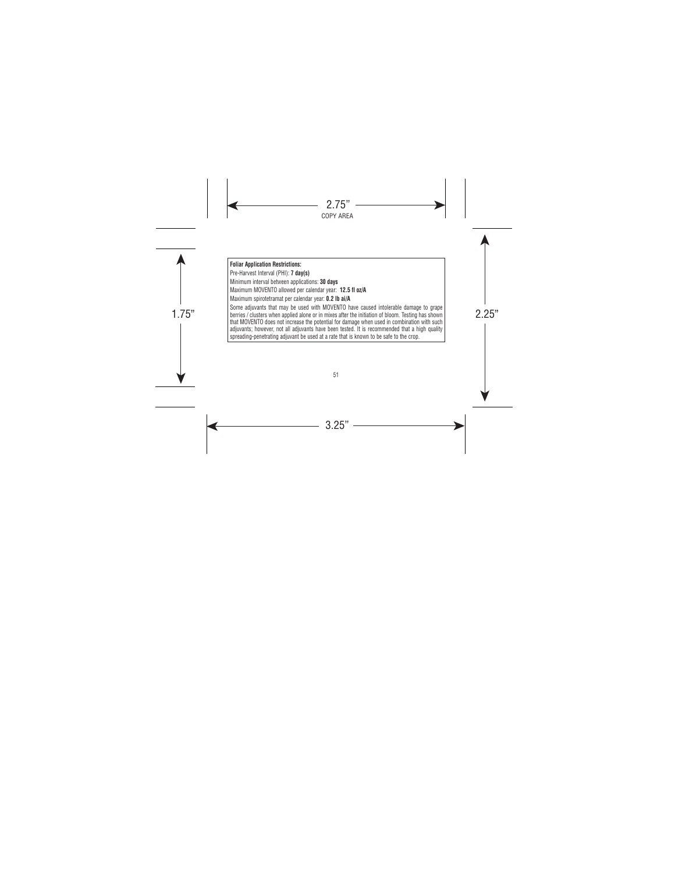berries / clusters when applied alone or in mixes after the initiation of bloom. Testing has shown **Foliar Application Restrictions:**  Pre-Harvest Interval (PHI): **7 day(s)**  Minimum interval between applications: **30 days** Maximum MOVENTO allowed per calendar year: **12.5 fl oz/A** Maximum spirotetramat per calendar year: **0.2 lb ai/A** Some adjuvants that may be used with MOVENTO have caused intolerable damage to grape that MOVENTO does not increase the potential for damage when used in combination with such adjuvants; however, not all adjuvants have been tested. It is recommended that a high quality spreading-penetrating adjuvant be used at a rate that is known to be safe to the crop.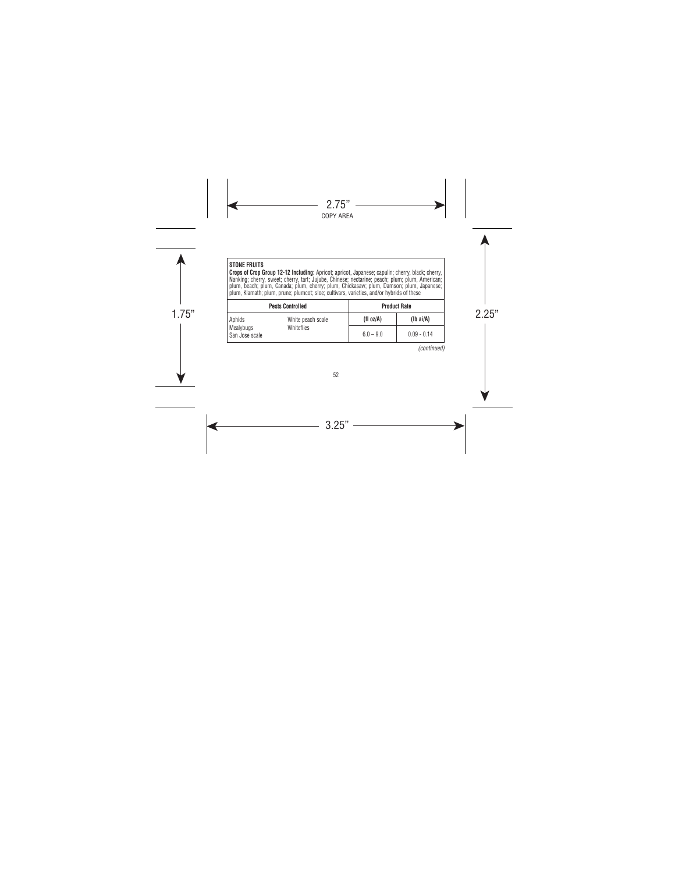| <b>STONE FRUITS</b> |  |
|---------------------|--|
|---------------------|--|

**Crops of Crop Group 12-12 Including:** Apricot; apricot, Japanese; capulin; cherry, black; cherry, Nanking; cherry, sweet; cherry, tart; Jujube, Chinese; nectarine; peach; plum; plum, American; plum, beach; plum, Canada; plum, cherry; plum, Chickasaw; plum, Damson; plum, Japanese; plum, Klamath; plum, prune; plumcot; sloe; cultivars, varieties, and/or hybrids of these

|                             | <b>Pests Controlled</b> |             | <b>Product Rate</b> |
|-----------------------------|-------------------------|-------------|---------------------|
| Aphids                      | White peach scale       | (fl oz/A)   | $(lb\ ai/A)$        |
| Mealybugs<br>San Jose scale | Whiteflies              | $6.0 - 9.0$ | $0.09 - 0.14$       |

*(continued)*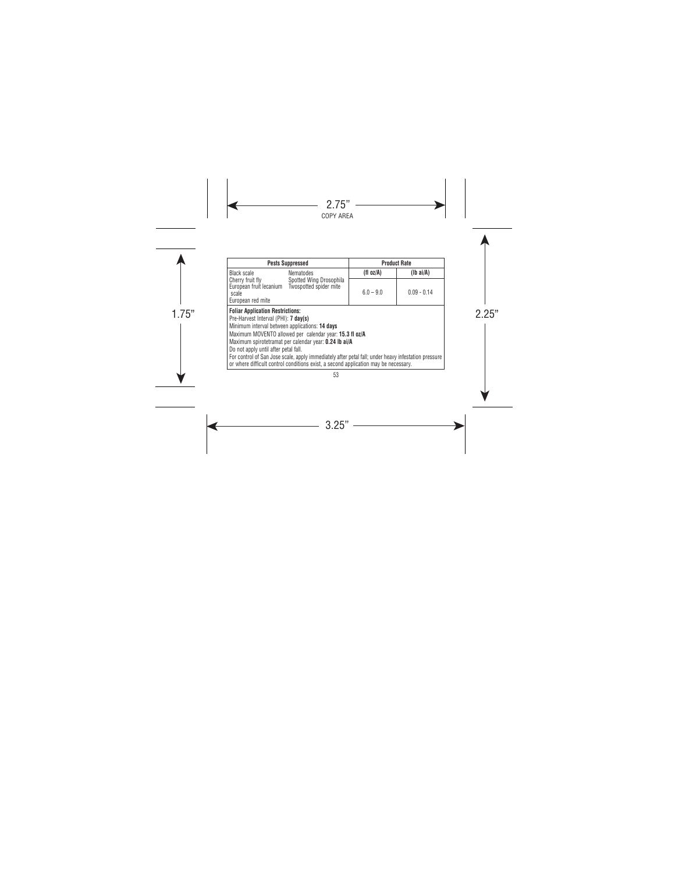|                                                                                                                                                                           | <b>Pests Suppressed</b>                                                                                                                                                                                                                                                                                        |              | <b>Product Rate</b> |
|---------------------------------------------------------------------------------------------------------------------------------------------------------------------------|----------------------------------------------------------------------------------------------------------------------------------------------------------------------------------------------------------------------------------------------------------------------------------------------------------------|--------------|---------------------|
| Black scale                                                                                                                                                               | <b>Nematodes</b>                                                                                                                                                                                                                                                                                               | (fl $oz/A$ ) | $(lb\text{ ai/A})$  |
| Cherry fruit fly<br>European fruit lecanium Twospotted spider mite<br>scale<br>European red mite                                                                          | Spotted Wing Drosophila                                                                                                                                                                                                                                                                                        | $6.0 - 9.0$  | $0.09 - 0.14$       |
| <b>Foliar Application Restrictions:</b><br>Pre-Harvest Interval (PHI): 7 day(s)<br>Minimum interval between applications: 14 days<br>Do not apply until after petal fall. | Maximum MOVENTO allowed per calendar year: 15.3 fl oz/A<br>Maximum spirotetramat per calendar year: 0.24 lb ai/A<br>For control of San Jose scale, apply immediately after petal fall; under heavy infestation pressure<br>or where difficult control conditions exist, a second application may be necessary. |              |                     |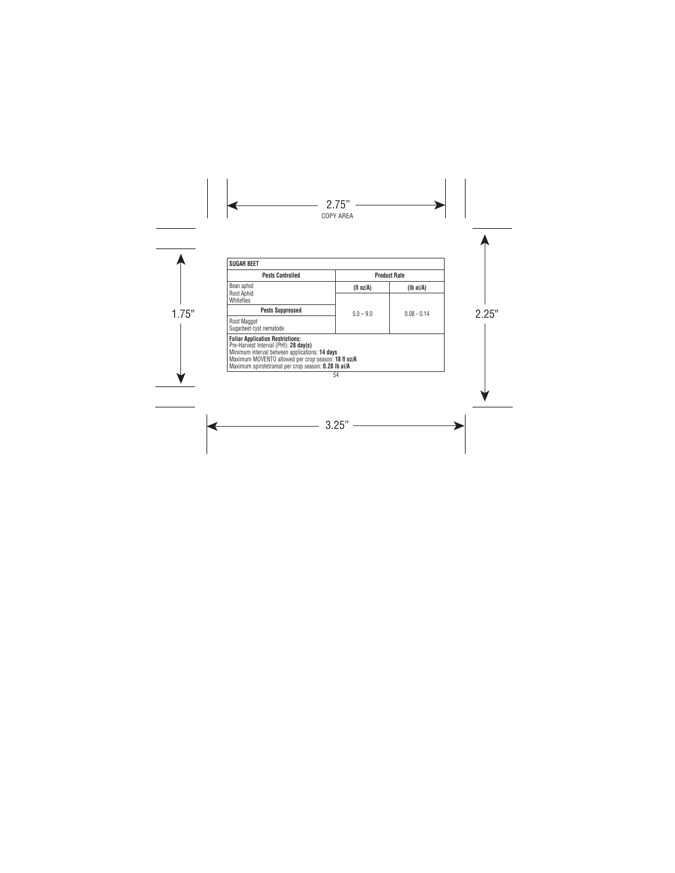| <b>Pests Controlled</b>                                                                                                                                                                                                                          |              | <b>Product Rate</b> |
|--------------------------------------------------------------------------------------------------------------------------------------------------------------------------------------------------------------------------------------------------|--------------|---------------------|
| Bean aphid                                                                                                                                                                                                                                       | (fl $oz/A$ ) | $(lb\text{ ai/A})$  |
| Root Aphid<br>Whiteflies                                                                                                                                                                                                                         |              |                     |
| <b>Pests Suppressed</b>                                                                                                                                                                                                                          | $5.0 - 9.0$  | $0.08 - 0.14$       |
| Root Maggot<br>Sugarbeet cyst nematode                                                                                                                                                                                                           |              |                     |
| <b>Foliar Application Restrictions:</b><br>Pre-Harvest Interval (PHI): 28 day(s)<br>Minimum interval between applications: 14 days<br>Maximum MOVENTO allowed per crop season: 18 fl oz/A<br>Maximum spirotetramat per crop season: 0.28 lb ai/A |              |                     |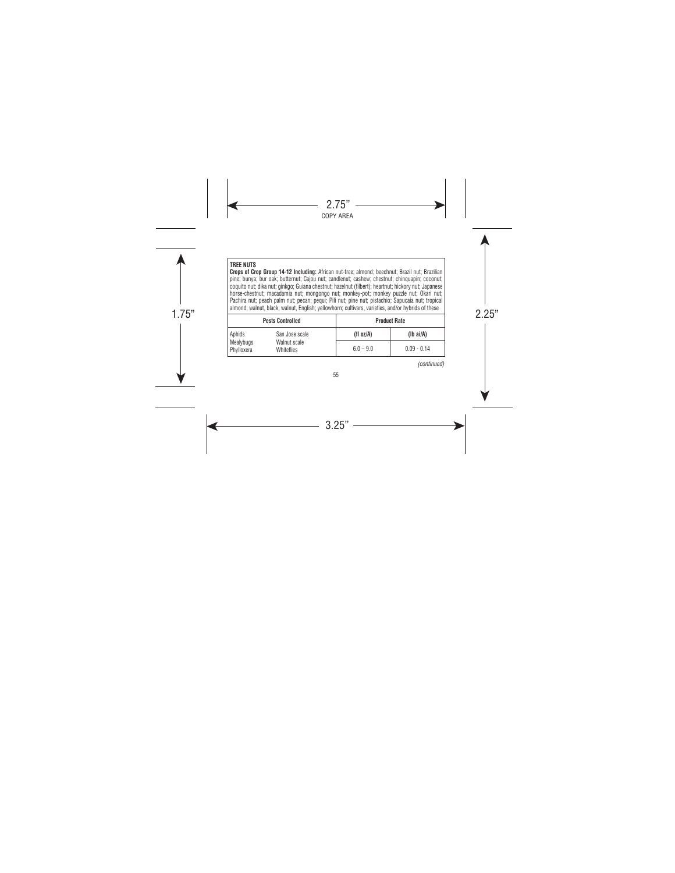### **TREE NUTS**

**Crops of Crop Group 14-12 Including:** African nut-tree; almond; beechnut; Brazil nut; Brazilian pine; bunya; bur oak; butternut; Cajou nut; candlenut; cashew; chestnut; chinquapin; coconut; coquito nut; dika nut; ginkgo; Guiana chestnut; hazelnut (filbert); heartnut; hickory nut; Japanese horse-chestnut; macadamia nut; mongongo nut; monkey-pot; monkey puzzle nut; Okari nut; Pachira nut; peach palm nut; pecan; pequi; Pili nut; pine nut; pistachio; Sapucaia nut; tropical almond; walnut, black; walnut, English; yellowhorn; cultivars, varieties, and/or hybrids of these

| annona, maniat, biaon, maniat, Lingion, yonomioni, outtraro, variotivo, and/or hybrido or those |                                                     |             |                     |  |
|-------------------------------------------------------------------------------------------------|-----------------------------------------------------|-------------|---------------------|--|
|                                                                                                 | <b>Pests Controlled</b>                             |             | <b>Product Rate</b> |  |
| Aphids                                                                                          | San Jose scale<br>Walnut scale<br><b>Whiteflies</b> | (fl oz/A)   | $(Ib\text{ ai/A})$  |  |
| Mealybugs<br>Phylloxera                                                                         |                                                     | $6.0 - 9.0$ | $0.09 - 0.14$       |  |

*(continued)*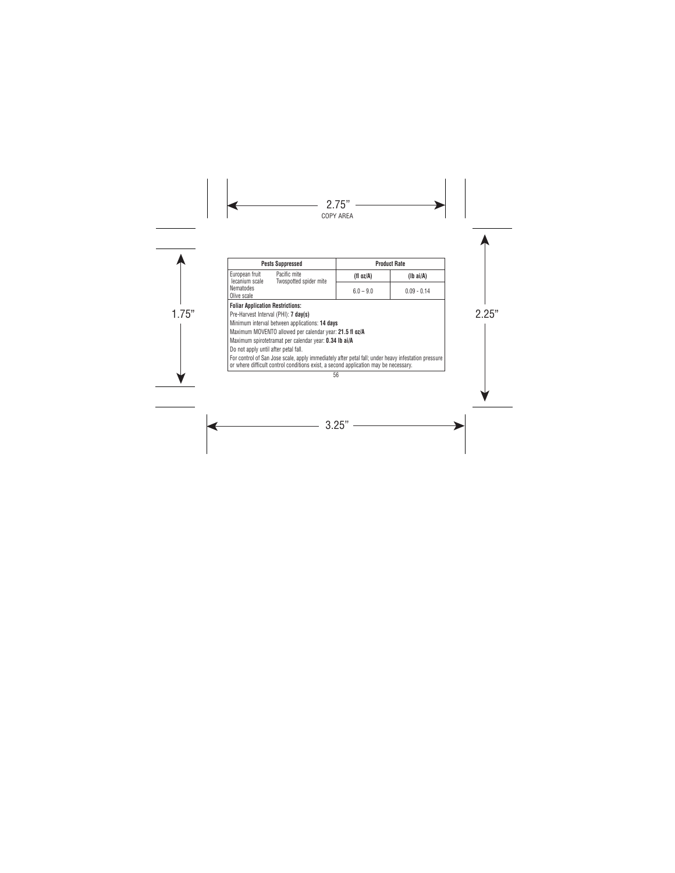| <b>Pests Suppressed</b>                                                                                                                                                                    |              | <b>Product Rate</b> |  |
|--------------------------------------------------------------------------------------------------------------------------------------------------------------------------------------------|--------------|---------------------|--|
| European fruit<br>Pacific mite<br>Twospotted spider mite<br>lecanium scale                                                                                                                 | (fl $oz/A$ ) | $(lb\text{ ai/A})$  |  |
| <b>Nematodes</b><br>Olive scale                                                                                                                                                            | $6.0 - 9.0$  | $0.09 - 0.14$       |  |
| <b>Foliar Application Restrictions:</b>                                                                                                                                                    |              |                     |  |
| Pre-Harvest Interval (PHI): 7 day(s)                                                                                                                                                       |              |                     |  |
| Minimum interval between applications: 14 days                                                                                                                                             |              |                     |  |
| Maximum MOVENTO allowed per calendar year: 21.5 fl oz/A                                                                                                                                    |              |                     |  |
| Maximum spirotetramat per calendar year: 0.34 lb ai/A                                                                                                                                      |              |                     |  |
| Do not apply until after petal fall.                                                                                                                                                       |              |                     |  |
| For control of San Jose scale, apply immediately after petal fall; under heavy infestation pressure<br>or where difficult control conditions exist, a second application may be necessary. |              |                     |  |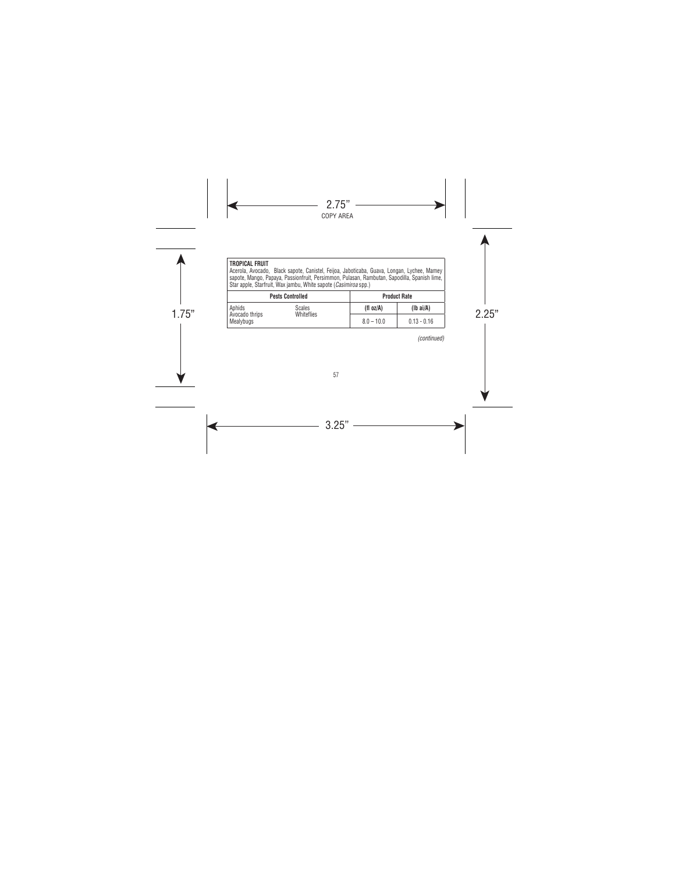#### **TROPICAL FRUIT**

Acerola, Avocado, Black sapote, Canistel, Feijoa, Jaboticaba, Guava, Longan, Lychee, Mamey<br>sapote, Mango, Papaya, Passionfruit, Persimmon, Pulasan, Rambutan, Sapodilla, Spanish lime,<br>Star apple, Starfruit, Wax jambu, Whit

| <b>Pests Controlled</b>     |            | <b>Product Rate</b> |               |
|-----------------------------|------------|---------------------|---------------|
| Aphids                      | Scales     | (fl oz/A)           | $(lb\ ai/A)$  |
| Avocado thrips<br>Mealybugs | Whiteflies | $8.0 - 10.0$        | $0.13 - 0.16$ |

*(continued)*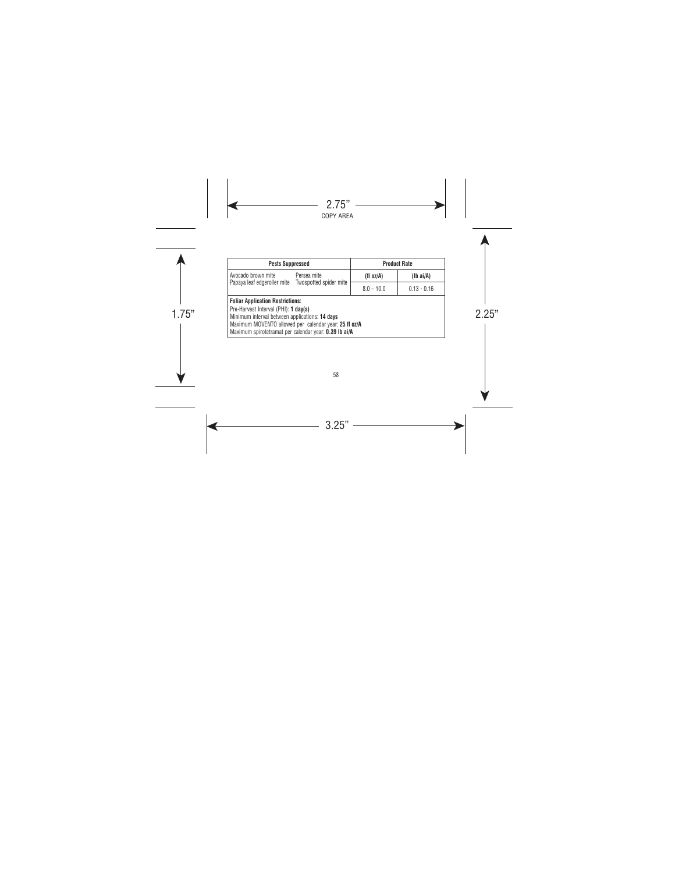| <b>Pests Suppressed</b>                                                                                                                                                                                                                             |             | <b>Product Rate</b> |                    |
|-----------------------------------------------------------------------------------------------------------------------------------------------------------------------------------------------------------------------------------------------------|-------------|---------------------|--------------------|
| Avocado brown mite                                                                                                                                                                                                                                  | Persea mite | (fl oz/A)           | $(lb\text{ ai/A})$ |
| Papaya leaf edgeroller mite Twospotted spider mite                                                                                                                                                                                                  |             | $8.0 - 10.0$        | $0.13 - 0.16$      |
| <b>Foliar Application Restrictions:</b><br>Pre-Harvest Interval (PHI): 1 dav(s)<br>Minimum interval between applications: 14 days<br>Maximum MOVENTO allowed per calendar year: 25 fl oz/A<br>Maximum spirotetramat per calendar year: 0.39 lb ai/A |             |                     |                    |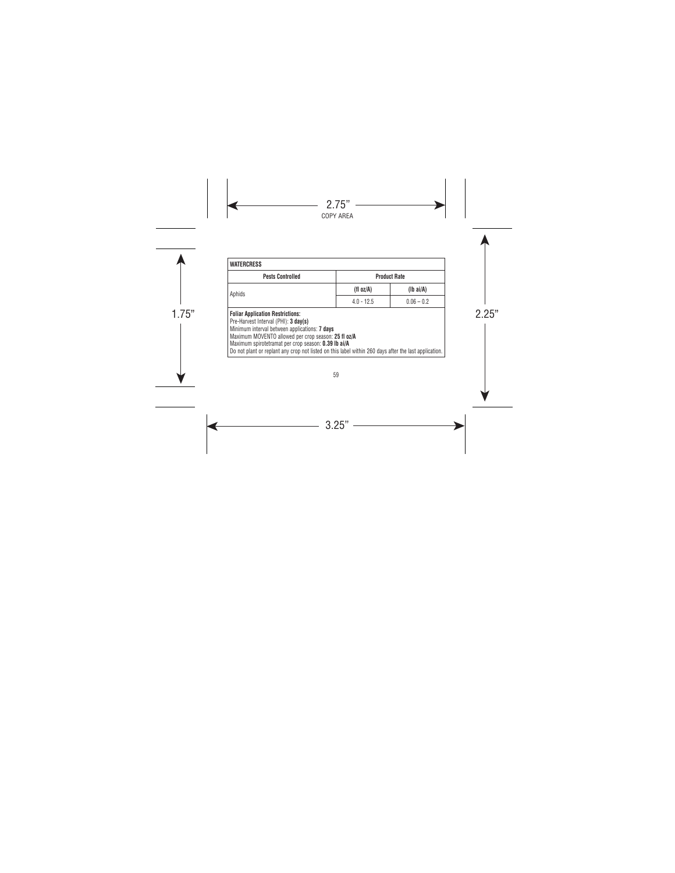| <b>Pests Controlled</b>                                                                                                                                                                                                                                                                                                                                 |              | <b>Product Rate</b> |
|---------------------------------------------------------------------------------------------------------------------------------------------------------------------------------------------------------------------------------------------------------------------------------------------------------------------------------------------------------|--------------|---------------------|
| Aphids                                                                                                                                                                                                                                                                                                                                                  | (fl $oz/A$ ) | $(lb\ ai/A)$        |
|                                                                                                                                                                                                                                                                                                                                                         | $4.0 - 12.5$ | $0.06 - 0.2$        |
| <b>Foliar Application Restrictions:</b><br>Pre-Harvest Interval (PHI): 3 day(s)<br>Minimum interval between applications: 7 days<br>Maximum MOVENTO allowed per crop season: 25 fl oz/A<br>Maximum spirotetramat per crop season: 0.39 lb ai/A<br>Do not plant or replant any crop not listed on this label within 260 days after the last application. |              |                     |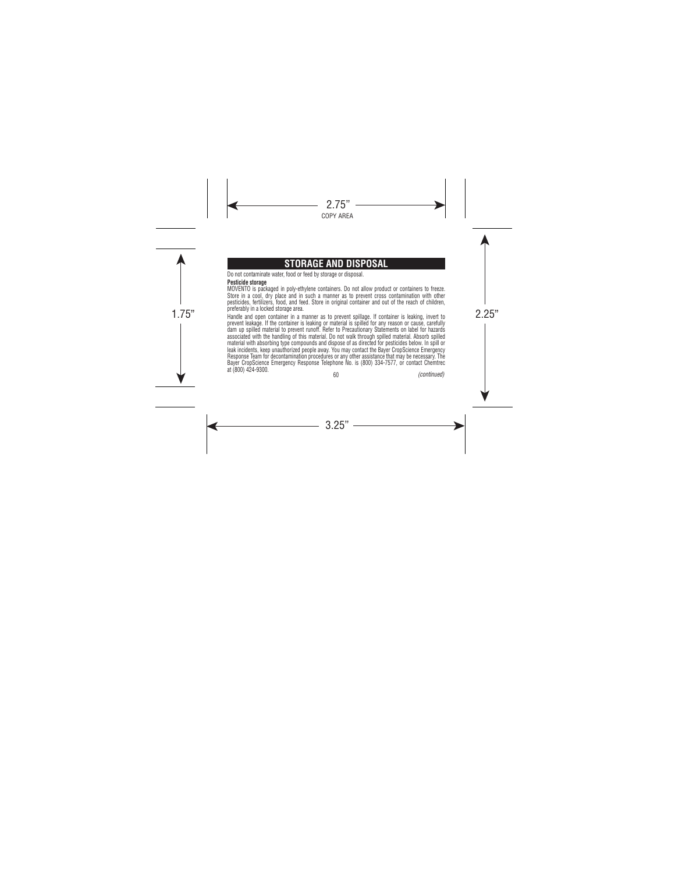# **STORAGE AND DISPOSAL**

Do not contaminate water, food or feed by storage or disposal.

#### **Pesticide storage**

MOVENTO is packaged in poly-ethylene containers. Do not allow product or containers to freeze. Store in a cool, dry place and in such a manner as to prevent cross contamination with other pesticides, fertilizers, food, and feed. Store in original container and out of the reach of children, preferably in a locked storage area.

prererably in a lockeu storage area.<br>Handle and open container in a manner as to prevent spillage. If container is leaking, invert to prevent leakage. If the container is leaking or material is spilled for any reason or cause, carefully dam up spilled material to prevent runoff. Refer to Precautionary Statements on label for hazards associated with the handling of this material. Do not walk through spilled material. Absorb spilled material with absorbing type compounds and dispose of as directed for pesticides below. In spill or leak incidents, keep unauthorized people away. You may contact the Bayer CropScience Emergency Response Team for decontamination procedures or any other assistance that may be necessary. The Bayer CropScience Emergency Response Telephone No. is (800) 334-7577, or contact Chemtrec at (800) 424-9300. *(continued)*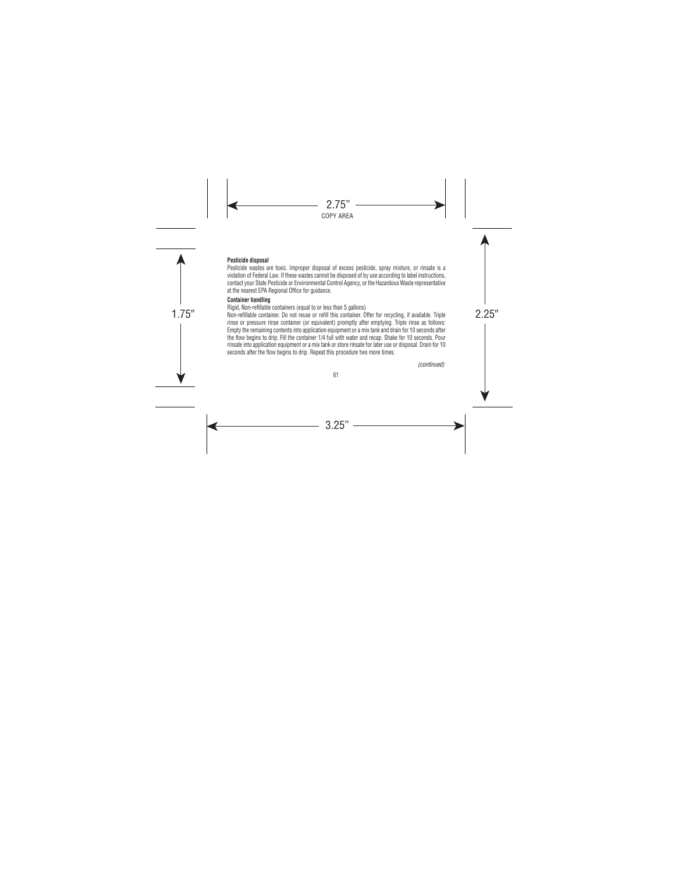# **Pesticide disposal**

Pesticide wastes are toxic. Improper disposal of excess pesticide, spray mixture, or rinsate is a violation of Federal Law. If these wastes cannot be disposed of by use according to label instructions, contact your State Pesticide or Environmental Control Agency, or the Hazardous Waste representative at the nearest EPA Regional Office for guidance.

## **Container handling**

Rigid, Non-refillable containers (equal to or less than 5 gallons)

1.75" 2.25" Non-refillable container. Do not reuse or refill this container. Offer for recycling, if available. Triple rinse or pressure rinse container (or equivalent) promptly after emptying. Triple rinse as follows: Empty the remaining contents into application equipment or a mix tank and drain for 10 seconds after the flow begins to drip. Fill the container 1/4 full with water and recap. Shake for 10 seconds. Pour rinsate into application equipment or a mix tank or store rinsate for later use or disposal. Drain for 10 seconds after the flow begins to drip. Repeat this procedure two more times.

*(continued)*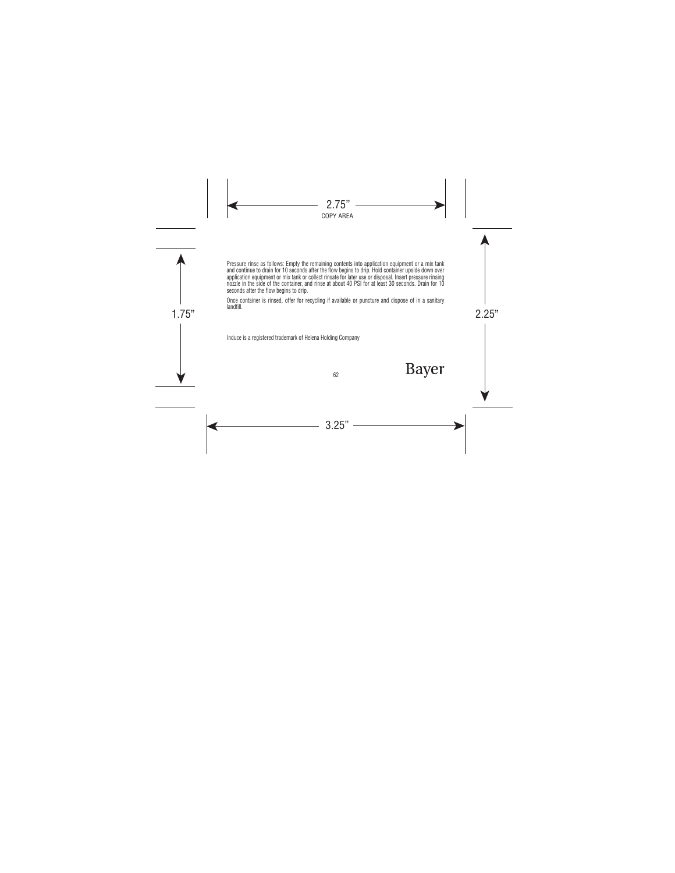Pressure rinse as follows: Empty the remaining contents into application equipment or a mix tank and continue to drain for 10 seconds after the flow begins to drip. Hold container upside down over application equipment or mix tank or collect rinsate for later use or disposal. Insert pressure rinsing nozzle in the side of the container, and rinse at about 40 PSI for at least 30 seconds. Drain for 10 seconds after the flow begins to drip.

 $1.75$  and  $1.75$   $1.75$   $1.75$   $1.75$   $1.75$   $1.75$   $1.75$   $1.75$   $1.75$   $1.75$   $1.75$   $1.75$   $1.75$   $1.75$   $1.75$   $1.75$   $1.75$   $1.75$   $1.75$   $1.75$   $1.75$   $1.75$   $1.75$   $1.75$   $1.75$   $1.75$   $1.75$   $1.75$   $1.75$   $1.75$  Once container is rinsed, offer for recycling if available or puncture and dispose of in a sanitary landfill.

Induce is a registered trademark of Helena Holding Company

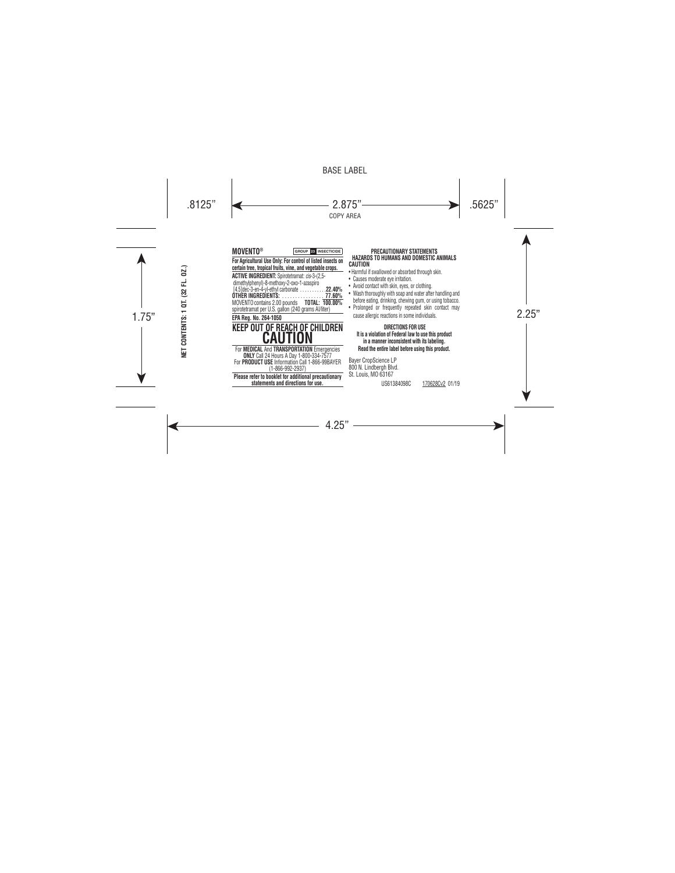| 02.)<br>ᇆ<br>32<br>ā    | <b>MOVENTO®</b><br><b>GROUP 28 INSECTICIDE</b><br>For Agricultural Use Only: For control of listed insects on<br>certain tree, tropical fruits, vine, and vegetable crops.<br>ACTIVE INGREDIENT: Spirotetramat: cis-3-(2,5-<br>dimethylphenyl)-8-methoxy-2-oxo-1-azaspiro<br>[4.5] dec-3-en-4-yl-ethyl carbonate.<br>.22.40%<br>OTHER INGREDIENTS:<br>77.60%<br>MOVENTO contains 2.00 pounds<br>TOTAL: 100.00%<br>spirotetramat per U.S. gallon (240 grams Al/liter) | PRECAUTIONARY STATEMENTS<br>HAZARDS TO HUMANS AND DOMESTIC ANIMALS<br>CAUTION<br>• Harmful if swallowed or absorbed through skin.<br>• Causes moderate eye irritation.<br>• Avoid contact with skin, eyes, or clothing.<br>• Wash thoroughly with soap and water after handling and<br>before eating, drinking, chewing gum, or using tobacco.<br>• Prolonged or frequently repeated skin contact may |
|-------------------------|----------------------------------------------------------------------------------------------------------------------------------------------------------------------------------------------------------------------------------------------------------------------------------------------------------------------------------------------------------------------------------------------------------------------------------------------------------------------|-------------------------------------------------------------------------------------------------------------------------------------------------------------------------------------------------------------------------------------------------------------------------------------------------------------------------------------------------------------------------------------------------------|
| CONTENTS:<br><b>TEN</b> | EPA Rea. No. 264-1050<br>KEEP OUT OF REACH OF CHILDREN<br>CAUTION<br>For MEDICAL And TRANSPORTATION Emergencies<br><b>ONLY</b> Call 24 Hours A Day 1-800-334-7577<br>For PRODUCT USE Information Call 1-866-99BAYER<br>(1-866-992-2937)<br>Please refer to booklet for additional precautionary<br>statements and directions for use.                                                                                                                                | cause allergic reactions in some individuals.<br>DIRECTIONS FOR USE<br>It is a violation of Federal law to use this product<br>in a manner inconsistent with its labeling.<br>Read the entire label before using this product.<br><b>Bayer CropScience LP</b><br>800 N. Lindbergh Blvd.<br>St. Louis, MO 63167<br>US61384098C<br>170628Cv2 01/19                                                      |

#### **PRECAUTIONARY STATEMENTS HAZARDS TO HUMANS AND DOMESTIC ANIMALS CAUTION**

- armful if swallowed or absorbed through skin.
- auses moderate eye irritation.
- Avoid contact with skin, eyes, or clothing.
- Wash thoroughly with soap and water after handling and efore eating, drinking, chewing gum, or using tobacco.
- Prolonged or frequently repeated skin contact may ause allergic reactions in some individuals.

# **DIRECTIONS FOR USE**